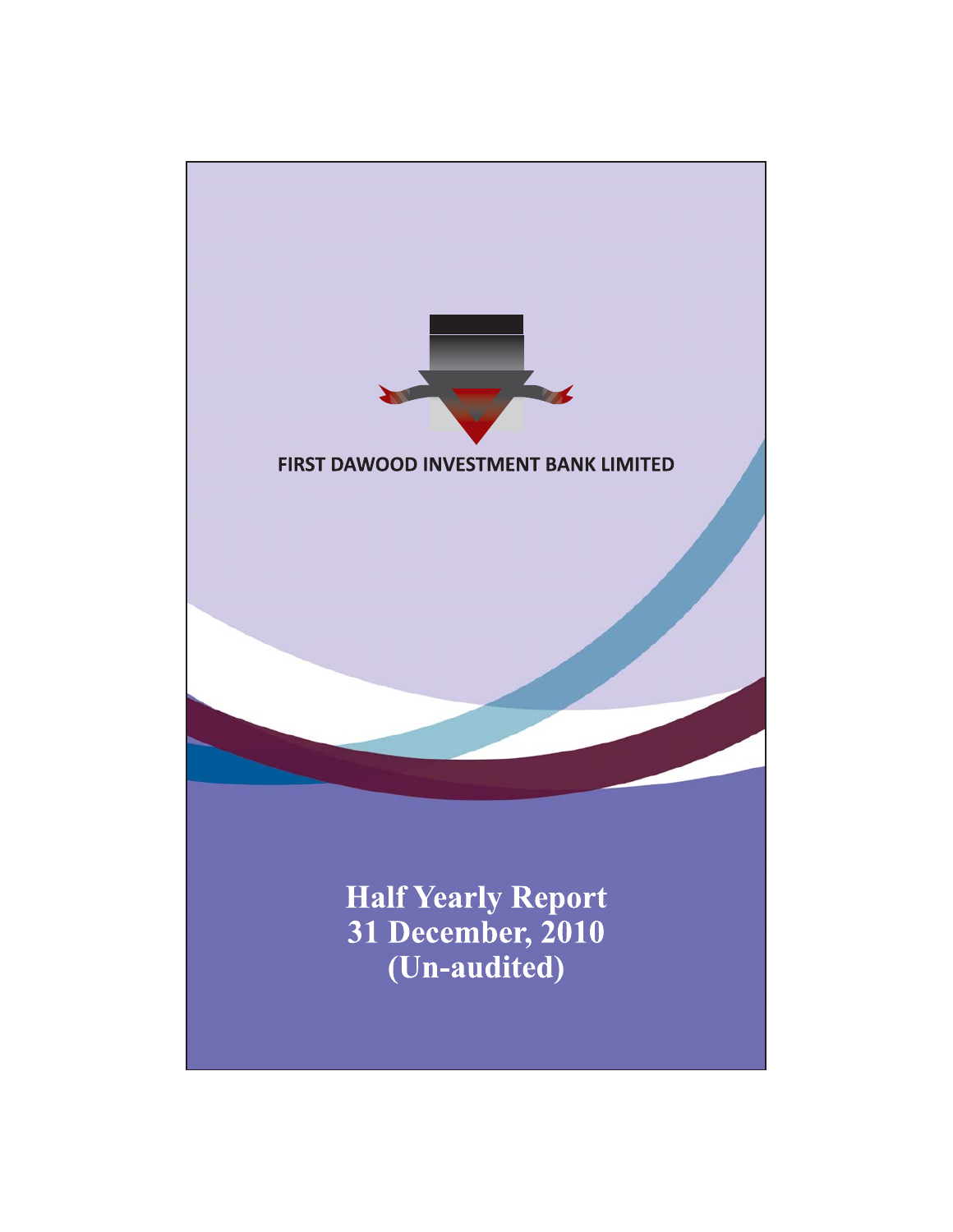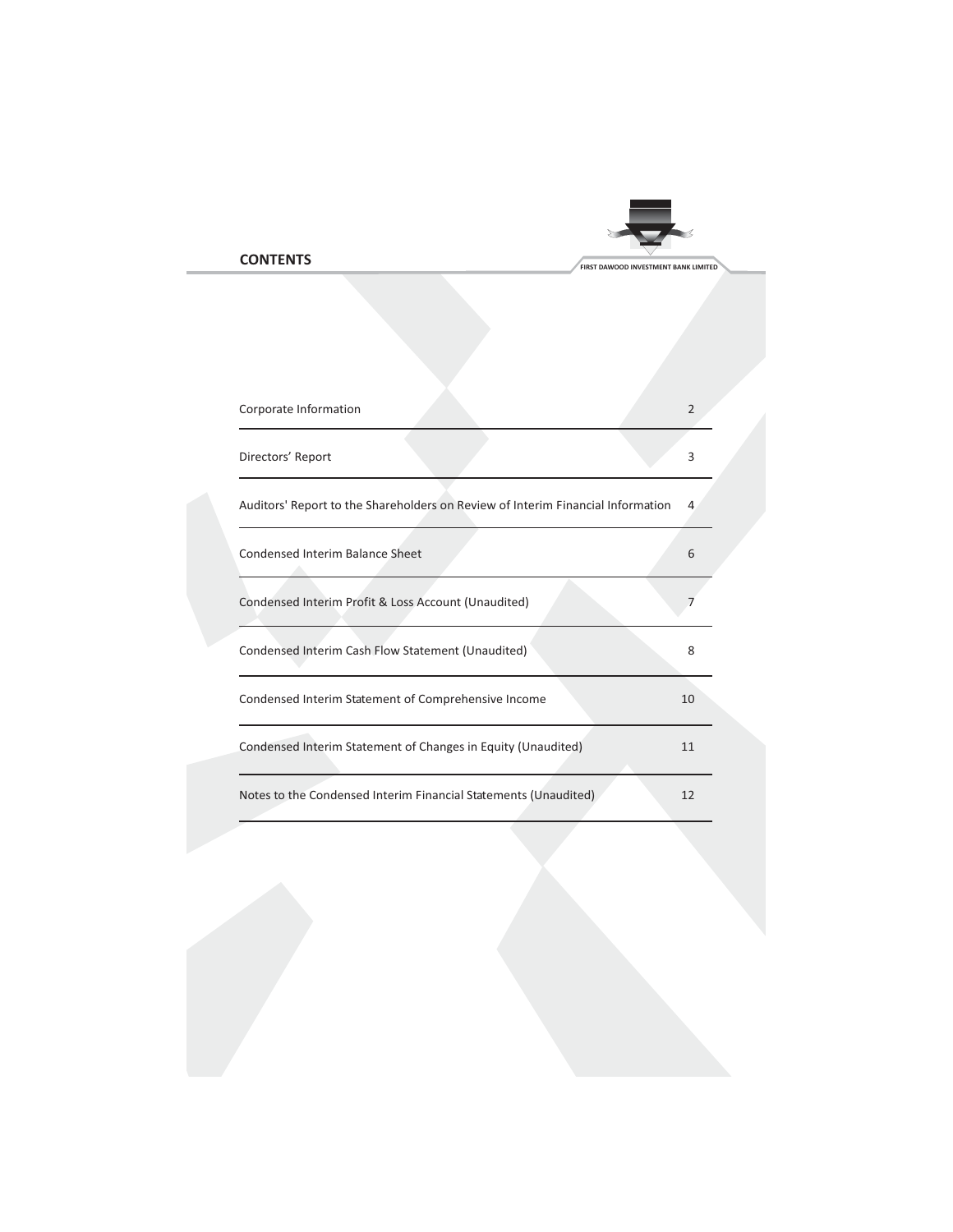# **CONTENTS**

| Corporate Information                                                           | $\overline{2}$ |
|---------------------------------------------------------------------------------|----------------|
| Directors' Report                                                               | 3              |
| Auditors' Report to the Shareholders on Review of Interim Financial Information | 4              |
| <b>Condensed Interim Balance Sheet</b>                                          | 6              |
| Condensed Interim Profit & Loss Account (Unaudited)                             | 7              |
| Condensed Interim Cash Flow Statement (Unaudited)                               | 8              |
| Condensed Interim Statement of Comprehensive Income                             | 10             |
| Condensed Interim Statement of Changes in Equity (Unaudited)                    | 11             |
| Notes to the Condensed Interim Financial Statements (Unaudited)                 | 12             |

FIRST DAWOOD INVESTMENT BANK LIMITED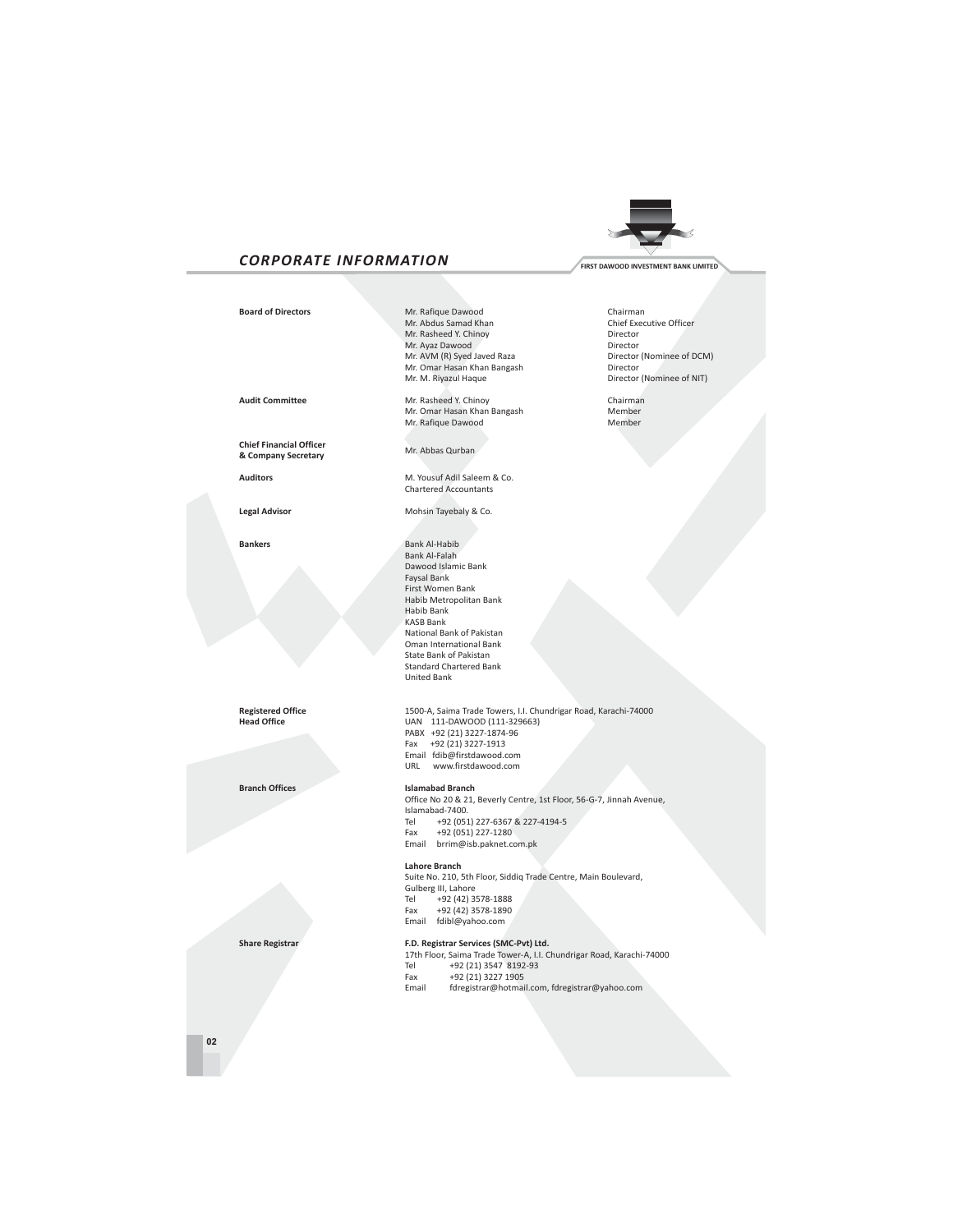# **CORPORATE INFORMATION**

**Board of Directors** 

Audit Committee

**Chief Financial Officer** 

& Company Secretary

**Auditors** 

**Bankers** 

**Legal Advisor** 

Mr. Rafique Dawood Mr. Abdus Samad Khan<br>Mr. Rasheed Y. Chinoy Mr. Ayaz Dawood Mr. AVM (R) Syed Javed Raza Mr. Omar Hasan Khan Bangash Mr. M. Riyazul Haque

Mr. Rasheed Y. Chinoy<br>Mr. Omar Hasan Khan Bangash Mr. Rafique Dawood

Mr. Abbas Qurban

M. Yousuf Adil Saleem & Co. Chartered Accountants

Mohsin Tavebaly & Co.

Bank Al-Habib Bank Al-Falah Dawood Islamic Bank Faysal Bank First Women Bank Habib Metropolitan Bank Habib Bank **KASB Bank** National Bank of Pakistan Oman International Bank State Bank of Pakistan<br>Standard Chartered Bank United Bank

1500-A, Saima Trade Towers, I.I. Chundrigar Road, Karachi-74000 UAN 111-DAWOOD (111-329663) PABX +92 (21) 3227-1874-96 Fax +92 (21) 3227-1913 Email fdib@firstdawood.com URL www.firstdawood.com

**Islamabad Branch** 

Office No 20 & 21, Beverly Centre, 1st Floor, 56-G-7, Jinnah Avenue, Islamabad-7400. Tel +92 (051) 227-6367 & 227-4194-5 Fax +92 (051) 227-1280 Email brrim@isb.paknet.com.pk

Lahore Branch

Suite No. 210, 5th Floor, Siddiq Trade Centre, Main Boulevard, Gulberg III. Lahore +92 (42) 3578-1888 Tel Fax +92 (42) 3578-1890 Email fdibl@yahoo.com

F.D. Registrar Services (SMC-Pvt) Ltd.<br>17th Floor, Saima Trade Tower-A, I.I. Chundrigar Road, Karachi-74000<br>Tel +92 (21) 3547 8192-93 Fax +92 (21) 3227 1905

Email fdregistrar@hotmail.com, fdregistrar@yahoo.com

Chairman Chief Executive Officer Director Director Director (Nominee of DCM) Director Director (Nominee of NIT)

> Chairman Member Member

**Registered Office Head Office** 

**Branch Offices** 

**Share Registrar** 



 ${\bf 02}$ 

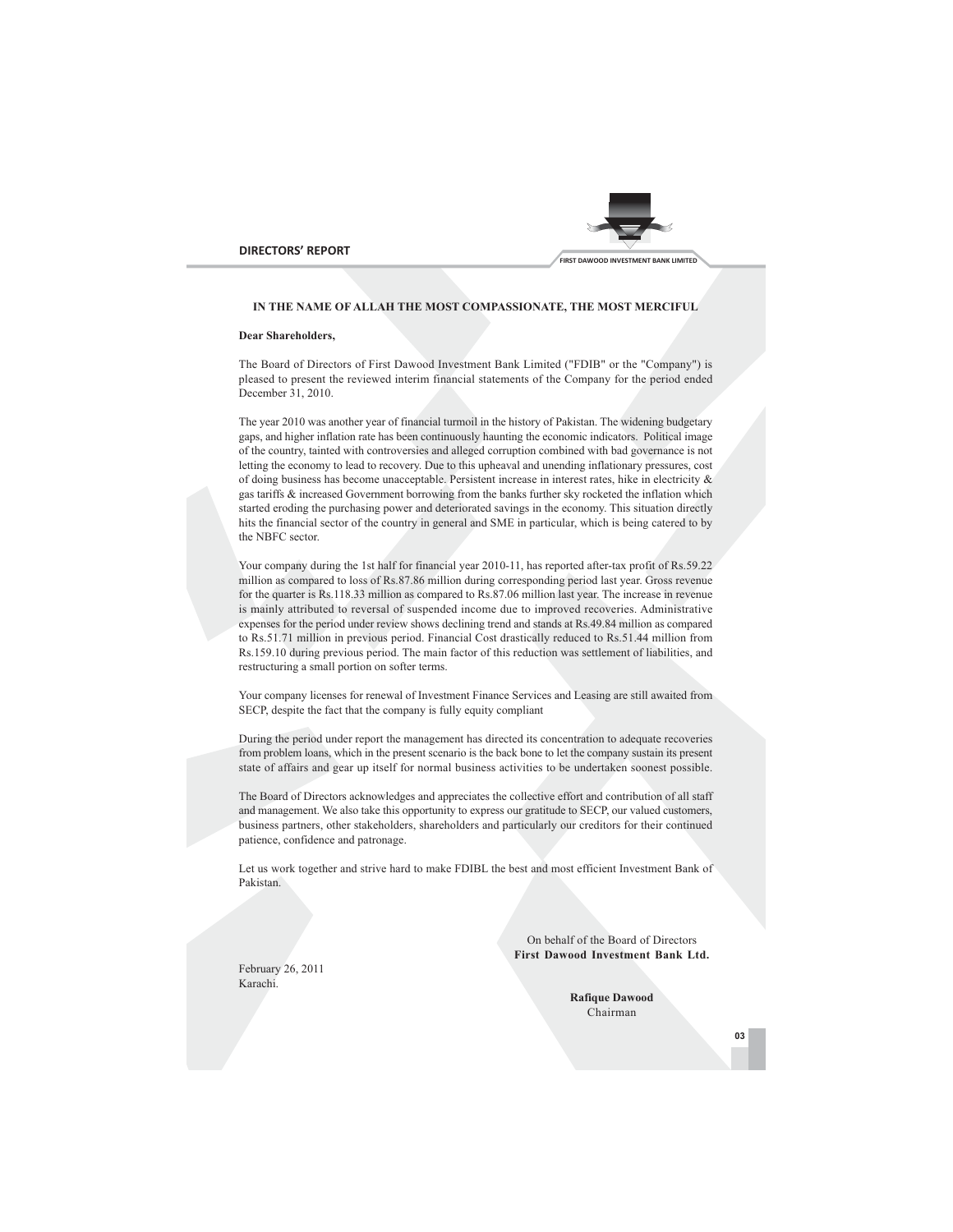



## IN THE NAME OF ALLAH THE MOST COMPASSIONATE, THE MOST MERCIFUL

### **Dear Shareholders.**

The Board of Directors of First Dawood Investment Bank Limited ("FDIB" or the "Company") is pleased to present the reviewed interim financial statements of the Company for the period ended December 31, 2010.

The year 2010 was another year of financial turmoil in the history of Pakistan. The widening budgetary gaps, and higher inflation rate has been continuously haunting the economic indicators. Political image of the country, tainted with controversies and alleged corruption combined with bad governance is not letting the economy to lead to recovery. Due to this upheaval and unending inflationary pressures, cost of doing business has become unacceptable. Persistent increase in interest rates, hike in electricity & gas tariffs & increased Government borrowing from the banks further sky rocketed the inflation which started eroding the purchasing power and deteriorated savings in the economy. This situation directly hits the financial sector of the country in general and SME in particular, which is being catered to by the NBFC sector.

Your company during the 1st half for financial year 2010-11, has reported after-tax profit of Rs.59.22 million as compared to loss of Rs.87.86 million during corresponding period last year. Gross revenue for the quarter is Rs.118.33 million as compared to Rs.87.06 million last year. The increase in revenue is mainly attributed to reversal of suspended income due to improved recoveries. Administrative expenses for the period under review shows declining trend and stands at Rs.49.84 million as compared to Rs.51.71 million in previous period. Financial Cost drastically reduced to Rs.51.44 million from Rs.159.10 during previous period. The main factor of this reduction was settlement of liabilities, and restructuring a small portion on softer terms.

Your company licenses for renewal of Investment Finance Services and Leasing are still awaited from SECP, despite the fact that the company is fully equity compliant

During the period under report the management has directed its concentration to adequate recoveries from problem loans, which in the present scenario is the back bone to let the company sustain its present state of affairs and gear up itself for normal business activities to be undertaken soonest possible.

The Board of Directors acknowledges and appreciates the collective effort and contribution of all staff and management. We also take this opportunity to express our gratitude to SECP, our valued customers, business partners, other stakeholders, shareholders and particularly our creditors for their continued patience, confidence and patronage.

Let us work together and strive hard to make FDIBL the best and most efficient Investment Bank of Pakistan.

> On behalf of the Board of Directors First Dawood Investment Bank Ltd.

February 26, 2011 Karachi

> **Rafique Dawood** Chairman

> > 03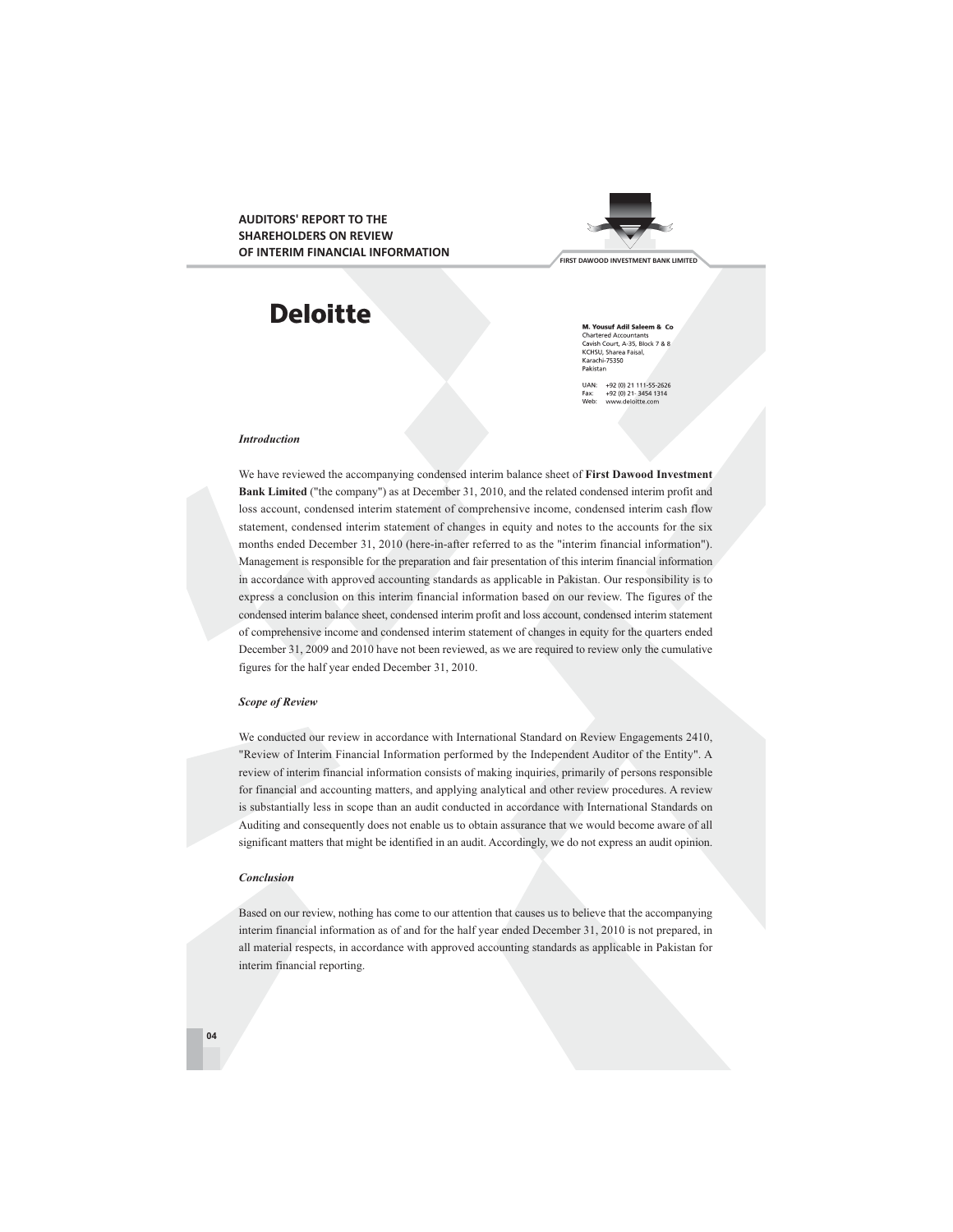ALIDITORS' REPORT TO THE **SHAREHOLDERS ON REVIEW** OF INTERIM FINANCIAL INFORMATION



# **Deloitte**

M. Yousuf Adil Saleem & Co **M. Yousuf Adil Saleem & Co**<br>Chartered Accountants<br>Cavish Court, A-35, Block 7 & 8<br>KCHSU, Sharea Faisal,<br>Karachi-75350<br>Pakistan

UAN: +92 (0) 21 111-55-2626<br>Fax: +92 (0) 21-3454 1314<br>Web: www.deloitte.com

### **Introduction**

We have reviewed the accompanying condensed interim balance sheet of First Dawood Investment Bank Limited ("the company") as at December 31, 2010, and the related condensed interim profit and loss account, condensed interim statement of comprehensive income, condensed interim cash flow statement, condensed interim statement of changes in equity and notes to the accounts for the six months ended December 31, 2010 (here-in-after referred to as the "interim financial information"). Management is responsible for the preparation and fair presentation of this interim financial information in accordance with approved accounting standards as applicable in Pakistan. Our responsibility is to express a conclusion on this interim financial information based on our review. The figures of the condensed interim balance sheet, condensed interim profit and loss account, condensed interim statement of comprehensive income and condensed interim statement of changes in equity for the quarters ended December 31, 2009 and 2010 have not been reviewed, as we are required to review only the cumulative figures for the half year ended December 31, 2010.

### **Scope of Review**

We conducted our review in accordance with International Standard on Review Engagements 2410, "Review of Interim Financial Information performed by the Independent Auditor of the Entity". A review of interim financial information consists of making inquiries, primarily of persons responsible for financial and accounting matters, and applying analytical and other review procedures. A review is substantially less in scope than an audit conducted in accordance with International Standards on Auditing and consequently does not enable us to obtain assurance that we would become aware of all significant matters that might be identified in an audit. Accordingly, we do not express an audit opinion.

### Conclusion

Based on our review, nothing has come to our attention that causes us to believe that the accompanying interim financial information as of and for the half year ended December 31, 2010 is not prepared, in all material respects, in accordance with approved accounting standards as applicable in Pakistan for interim financial reporting.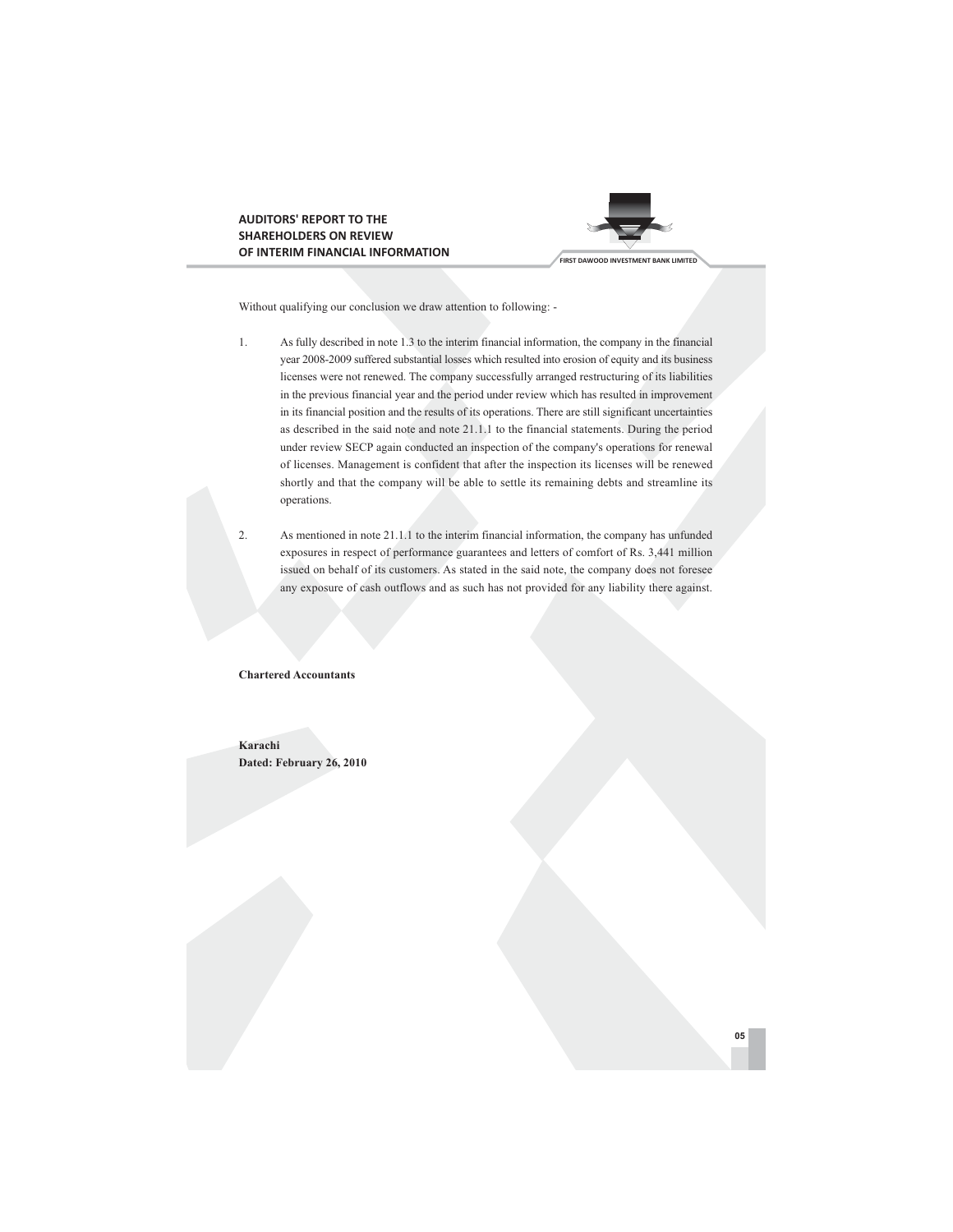# **AUDITORS' REPORT TO THE SHAREHOLDERS ON REVIEW** OF INTERIM FINANCIAL INFORMATION



Without qualifying our conclusion we draw attention to following: -

- As fully described in note 1.3 to the interim financial information, the company in the financial  $1.$ year 2008-2009 suffered substantial losses which resulted into erosion of equity and its business licenses were not renewed. The company successfully arranged restructuring of its liabilities in the previous financial year and the period under review which has resulted in improvement in its financial position and the results of its operations. There are still significant uncertainties as described in the said note and note 21.1.1 to the financial statements. During the period under review SECP again conducted an inspection of the company's operations for renewal of licenses. Management is confident that after the inspection its licenses will be renewed shortly and that the company will be able to settle its remaining debts and streamline its operations.
- $\overline{2}$ . As mentioned in note 21.1.1 to the interim financial information, the company has unfunded exposures in respect of performance guarantees and letters of comfort of Rs. 3,441 million issued on behalf of its customers. As stated in the said note, the company does not foresee any exposure of cash outflows and as such has not provided for any liability there against.

### **Chartered Accountants**

Karachi Dated: February 26, 2010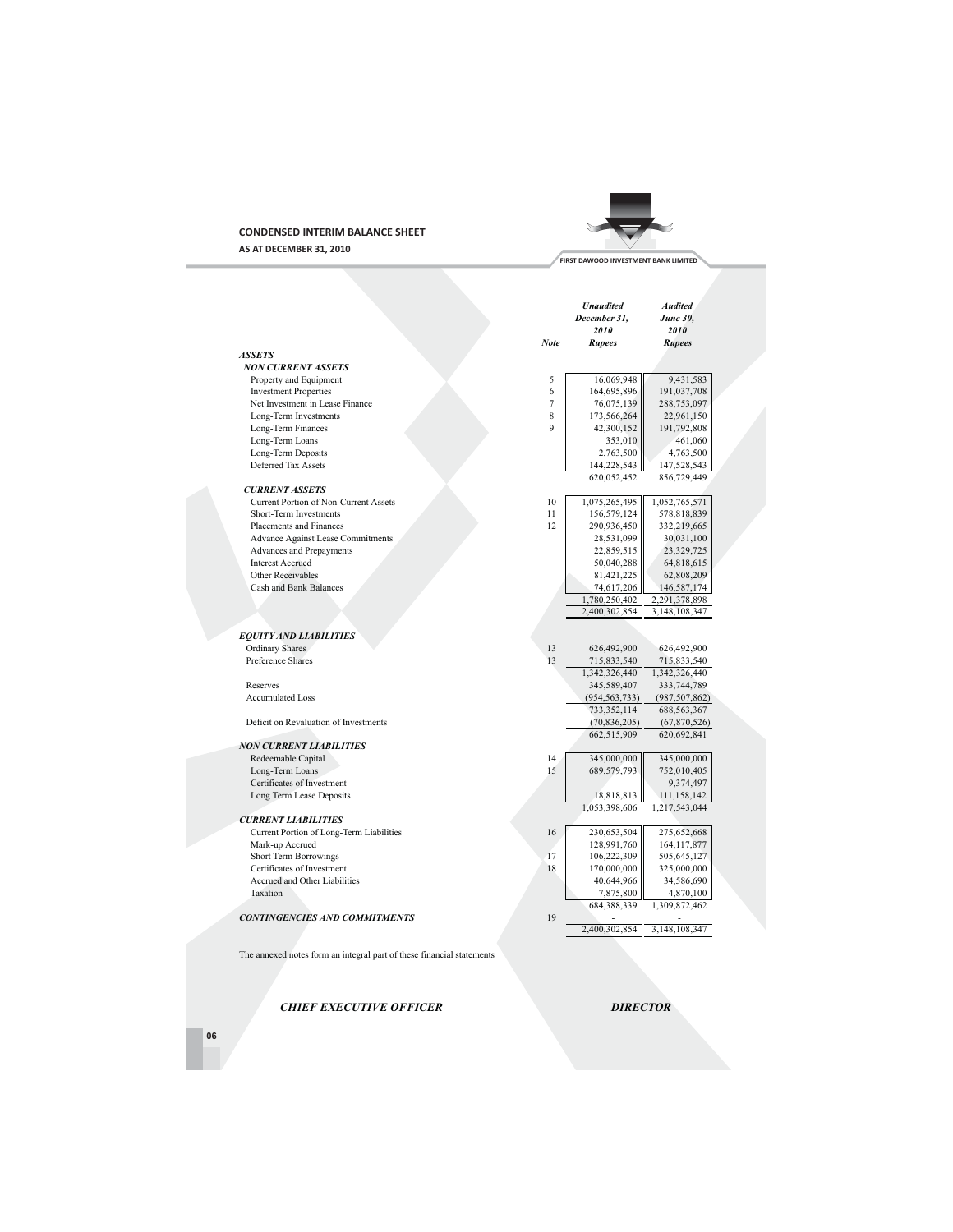# **CONDENSED INTERIM BALANCE SHEET**

AS AT DECEMBER 31, 2010



FIRST DAWOOD INVESTMENT BANK LIMITED

|                                                                       |      | <b>Unaudited</b><br>December 31,<br>2010 | <b>Audited</b><br><b>June 30.</b><br>2010 |  |
|-----------------------------------------------------------------------|------|------------------------------------------|-------------------------------------------|--|
|                                                                       | Note | <b>Rupees</b>                            | <b>Rupees</b>                             |  |
| <b>ASSETS</b>                                                         |      |                                          |                                           |  |
| NON CURRENT ASSETS                                                    |      |                                          |                                           |  |
| Property and Equipment                                                | 5    | 16,069,948                               | 9,431,583                                 |  |
| <b>Investment Properties</b>                                          | 6    | 164,695,896                              | 191,037,708                               |  |
| Net Investment in Lease Finance                                       | 7    | 76,075,139                               | 288,753,097                               |  |
| Long-Term Investments                                                 | 8    | 173,566,264                              | 22,961,150                                |  |
| Long-Term Finances                                                    | 9    | 42,300,152                               | 191,792,808                               |  |
| Long-Term Loans                                                       |      | 353,010                                  | 461,060                                   |  |
| Long-Term Deposits                                                    |      | 2,763,500                                | 4,763,500                                 |  |
| Deferred Tax Assets                                                   |      | 144,228,543                              | 147,528,543                               |  |
| <b>CURRENT ASSETS</b>                                                 |      | 620,052,452                              | 856,729,449                               |  |
| <b>Current Portion of Non-Current Assets</b>                          | 10   | 1,075,265,495                            | 1,052,765,571                             |  |
| Short-Term Investments                                                | 11   | 156,579,124                              | 578,818,839                               |  |
| <b>Placements and Finances</b>                                        | 12   | 290,936,450                              | 332,219,665                               |  |
| <b>Advance Against Lease Commitments</b>                              |      | 28,531,099                               | 30,031,100                                |  |
| Advances and Prepayments                                              |      | 22,859,515                               | 23,329,725                                |  |
| <b>Interest Accrued</b>                                               |      | 50,040,288                               | 64,818,615                                |  |
| Other Receivables                                                     |      | 81,421,225                               | 62,808,209                                |  |
| Cash and Bank Balances                                                |      | 74,617,206                               | 146,587,174                               |  |
|                                                                       |      | 1,780,250,402                            | 2,291,378,898                             |  |
|                                                                       |      | 2,400,302,854                            | 3,148,108,347                             |  |
|                                                                       |      |                                          |                                           |  |
| <b>EQUITY AND LIABILITIES</b>                                         |      |                                          |                                           |  |
| Ordinary Shares                                                       | 13   | 626,492,900                              | 626,492,900                               |  |
| Preference Shares                                                     | 13   | 715,833,540                              | 715,833,540                               |  |
|                                                                       |      | 1,342,326,440                            | 1,342,326,440                             |  |
| Reserves                                                              |      | 345,589,407                              | 333,744,789                               |  |
| <b>Accumulated Loss</b>                                               |      | (954, 563, 733)                          | (987, 507, 862)                           |  |
|                                                                       |      | 733, 352, 114                            | 688, 563, 367                             |  |
| Deficit on Revaluation of Investments                                 |      | (70, 836, 205)                           | (67,870,526)                              |  |
|                                                                       |      | 662,515,909                              | 620,692,841                               |  |
| <b>NON CURRENT LIABILITIES</b>                                        |      |                                          |                                           |  |
| Redeemable Capital                                                    | 14   | 345,000,000                              | 345,000,000                               |  |
| Long-Term Loans                                                       | 15   | 689,579,793                              | 752,010,405                               |  |
| Certificates of Investment                                            |      |                                          | 9,374,497                                 |  |
| Long Term Lease Deposits                                              |      | 18,818,813                               | 111,158,142                               |  |
|                                                                       |      | 1,053,398,606                            | 1,217,543,044                             |  |
| <b>CURRENT LIABILITIES</b>                                            |      |                                          |                                           |  |
| Current Portion of Long-Term Liabilities                              | 16   | 230,653,504                              | 275,652,668                               |  |
| Mark-up Accrued                                                       |      | 128,991,760                              | 164, 117, 877                             |  |
| <b>Short Term Borrowings</b>                                          | 17   | 106,222,309                              | 505,645,127                               |  |
| Certificates of Investment                                            | 18   | 170,000,000                              | 325,000,000                               |  |
| Accrued and Other Liabilities                                         |      | 40,644,966                               | 34,586,690                                |  |
| Taxation                                                              |      | 7,875,800                                | 4,870,100                                 |  |
|                                                                       |      | 684,388,339                              | 1,309,872,462                             |  |
| <b>CONTINGENCIES AND COMMITMENTS</b>                                  | 19   |                                          |                                           |  |
|                                                                       |      | 2,400,302,854                            | 3,148,108,347                             |  |
|                                                                       |      |                                          |                                           |  |
| The annexed notes form an integral part of these financial statements |      |                                          |                                           |  |

CHIEF EXECUTIVE OFFICER

**DIRECTOR** 

06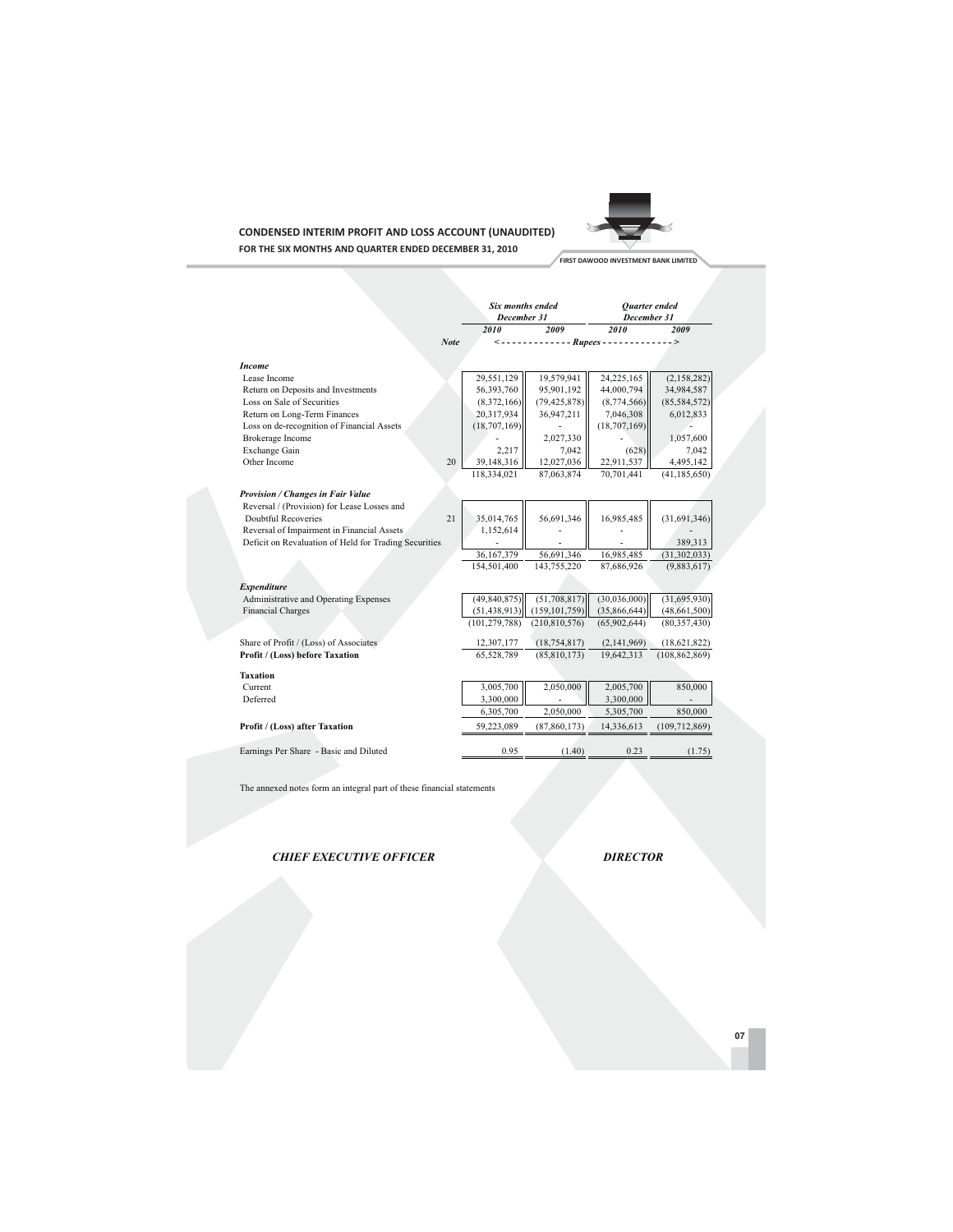# **CONDENSED INTERIM PROFIT AND LOSS ACCOUNT (UNAUDITED)** FOR THE SIX MONTHS AND QUARTER ENDED DECEMBER 31, 2010



FIRST DAWOOD INVESTMENT BANK LIMITED

|                                                       |      | Six months ended<br>December 31 |                                               | <b>Ouarter</b> ended<br>December 31 |                 |
|-------------------------------------------------------|------|---------------------------------|-----------------------------------------------|-------------------------------------|-----------------|
|                                                       |      | 2010                            | 2009                                          | 2010                                | 2009            |
|                                                       | Note |                                 | $\langle$ ------------- Rupees -------------> |                                     |                 |
|                                                       |      |                                 |                                               |                                     |                 |
| <b>Income</b>                                         |      |                                 |                                               |                                     |                 |
| Lease Income                                          |      | 29,551,129                      | 19,579,941                                    | 24,225,165                          | (2,158,282)     |
| Return on Deposits and Investments                    |      | 56,393,760                      | 95,901,192                                    | 44,000,794                          | 34,984,587      |
| Loss on Sale of Securities                            |      | (8,372,166)                     | (79, 425, 878)                                | (8,774,566)                         | (85, 584, 572)  |
| Return on Long-Term Finances                          |      | 20,317,934                      | 36,947,211                                    | 7,046,308                           | 6,012,833       |
| Loss on de-recognition of Financial Assets            |      | (18,707,169)                    |                                               | (18, 707, 169)                      |                 |
| <b>Brokerage Income</b>                               |      |                                 | 2,027,330                                     |                                     | 1,057,600       |
| Exchange Gain                                         |      | 2,217                           | 7,042                                         | (628)                               | 7,042           |
| Other Income                                          | 20   | 39,148,316                      | 12,027,036                                    | 22,911,537                          | 4,495,142       |
|                                                       |      | 118,334,021                     | 87,063,874                                    | 70,701,441                          | (41, 185, 650)  |
| Provision / Changes in Fair Value                     |      |                                 |                                               |                                     |                 |
| Reversal / (Provision) for Lease Losses and           |      |                                 |                                               |                                     |                 |
| Doubtful Recoveries                                   | 21   | 35,014,765                      | 56,691,346                                    | 16,985,485                          | (31,691,346)    |
| Reversal of Impairment in Financial Assets            |      | 1,152,614                       |                                               |                                     |                 |
| Deficit on Revaluation of Held for Trading Securities |      |                                 |                                               |                                     | 389,313         |
|                                                       |      | 36,167,379                      | 56,691,346                                    | 16,985,485                          | (31, 302, 033)  |
|                                                       |      | 154,501,400                     | 143,755,220                                   | 87,686,926                          | (9,883,617)     |
|                                                       |      |                                 |                                               |                                     |                 |
| <b>Expenditure</b>                                    |      |                                 |                                               |                                     |                 |
| Administrative and Operating Expenses                 |      | (49, 840, 875)                  | (51, 708, 817)                                | (30,036,000)                        | (31, 695, 930)  |
| <b>Financial Charges</b>                              |      | (51, 438, 913)                  | (159, 101, 759)                               | (35,866,644)                        | (48, 661, 500)  |
|                                                       |      | (101, 279, 788)                 | (210, 810, 576)                               | (65,902,644)                        | (80, 357, 430)  |
| Share of Profit / (Loss) of Associates                |      | 12,307,177                      | (18, 754, 817)                                | (2,141,969)                         | (18,621,822)    |
| Profit / (Loss) before Taxation                       |      | 65,528,789                      | (85, 810, 173)                                | 19,642,313                          | (108, 862, 869) |
| <b>Taxation</b>                                       |      |                                 |                                               |                                     |                 |
| Current                                               |      | 3,005,700                       | 2,050,000                                     | 2,005,700                           | 850,000         |
| Deferred                                              |      | 3,300,000                       |                                               | 3,300,000                           |                 |
|                                                       |      | 6,305,700                       | 2,050,000                                     | 5,305,700                           | 850,000         |
| Profit / (Loss) after Taxation                        |      | 59,223,089                      | (87, 860, 173)                                | 14,336,613                          | (109, 712, 869) |
|                                                       |      |                                 |                                               |                                     |                 |
| Earnings Per Share - Basic and Diluted                |      | 0.95                            | (1.40)                                        | 0.23                                | (1.75)          |

The annexed notes form an integral part of these financial statements

**CHIEF EXECUTIVE OFFICER** 

**DIRECTOR**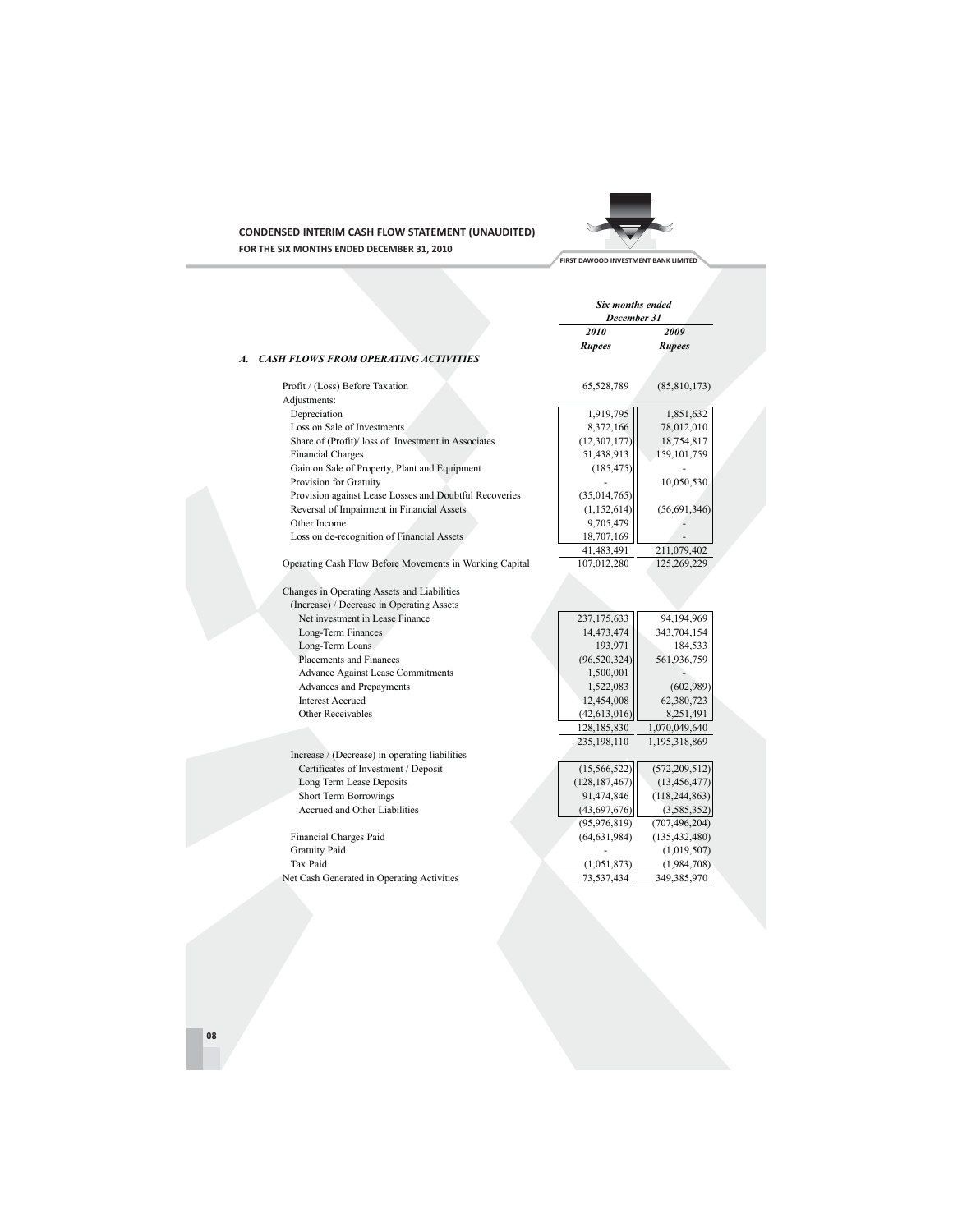

# **CONDENSED INTERIM CASH FLOW STATEMENT (UNAUDITED)** FOR THE SIX MONTHS ENDED DECEMBER 31, 2010

| FIRST DAWOOD INVESTMENT BANK LIMITED |  |
|--------------------------------------|--|
|--------------------------------------|--|

|                                                                                                                                                         | Six months ended<br>December 31                        |                                                     |
|---------------------------------------------------------------------------------------------------------------------------------------------------------|--------------------------------------------------------|-----------------------------------------------------|
|                                                                                                                                                         | 2010                                                   | 2009                                                |
|                                                                                                                                                         | <b>Rupees</b>                                          | Rupees                                              |
| <b>CASH FLOWS FROM OPERATING ACTIVITIES</b><br>A.                                                                                                       |                                                        |                                                     |
| Profit / (Loss) Before Taxation                                                                                                                         | 65,528,789                                             | (85,810,173)                                        |
| Adjustments:                                                                                                                                            |                                                        |                                                     |
| Depreciation                                                                                                                                            | 1,919,795                                              | 1,851,632                                           |
| Loss on Sale of Investments                                                                                                                             | 8,372,166                                              | 78,012,010                                          |
| Share of (Profit)/ loss of Investment in Associates                                                                                                     | (12, 307, 177)                                         | 18,754,817                                          |
| <b>Financial Charges</b>                                                                                                                                | 51,438,913                                             | 159, 101, 759                                       |
| Gain on Sale of Property, Plant and Equipment                                                                                                           | (185, 475)                                             |                                                     |
| Provision for Gratuity                                                                                                                                  |                                                        | 10,050,530                                          |
| Provision against Lease Losses and Doubtful Recoveries                                                                                                  | (35,014,765)                                           |                                                     |
| Reversal of Impairment in Financial Assets                                                                                                              | (1,152,614)                                            | (56,691,346)                                        |
| Other Income                                                                                                                                            | 9,705,479                                              |                                                     |
| Loss on de-recognition of Financial Assets                                                                                                              | 18,707,169                                             |                                                     |
|                                                                                                                                                         | 41,483,491                                             | 211,079,402                                         |
| Operating Cash Flow Before Movements in Working Capital                                                                                                 | 107,012,280                                            | 125,269,229                                         |
| (Increase) / Decrease in Operating Assets<br>Net investment in Lease Finance<br>Long-Term Finances<br>Long-Term Loans<br><b>Placements and Finances</b> | 237,175,633<br>14,473,474<br>193,971<br>(96, 520, 324) | 94,194,969<br>343,704,154<br>184,533<br>561,936,759 |
| Advance Against Lease Commitments                                                                                                                       | 1,500,001                                              |                                                     |
| Advances and Prepayments<br><b>Interest Accrued</b>                                                                                                     | 1,522,083<br>12,454,008                                | (602,989)<br>62,380,723                             |
| Other Receivables                                                                                                                                       | (42, 613, 016)                                         | 8,251,491                                           |
|                                                                                                                                                         | 128,185,830                                            | 1,070,049,640                                       |
|                                                                                                                                                         | 235,198,110                                            | 1,195,318,869                                       |
| Increase / (Decrease) in operating liabilities                                                                                                          |                                                        |                                                     |
|                                                                                                                                                         |                                                        |                                                     |
| Certificates of Investment / Deposit<br>Long Term Lease Deposits                                                                                        | (15, 566, 522)<br>(128, 187, 467)                      | (572, 209, 512)<br>(13, 456, 477)                   |
|                                                                                                                                                         |                                                        |                                                     |
| <b>Short Term Borrowings</b><br>Accrued and Other Liabilities                                                                                           | 91,474,846                                             | (118, 244, 863)                                     |
|                                                                                                                                                         | (43,697,676)                                           | (3, 585, 352)                                       |
|                                                                                                                                                         | (95, 976, 819)                                         | (707, 496, 204)                                     |
| Financial Charges Paid                                                                                                                                  | (64, 631, 984)                                         | (135, 432, 480)                                     |
| <b>Gratuity Paid</b>                                                                                                                                    |                                                        | (1,019,507)                                         |
| Tax Paid                                                                                                                                                | (1,051,873)                                            | (1,984,708)                                         |
| Net Cash Generated in Operating Activities                                                                                                              | 73,537,434                                             | 349,385,970                                         |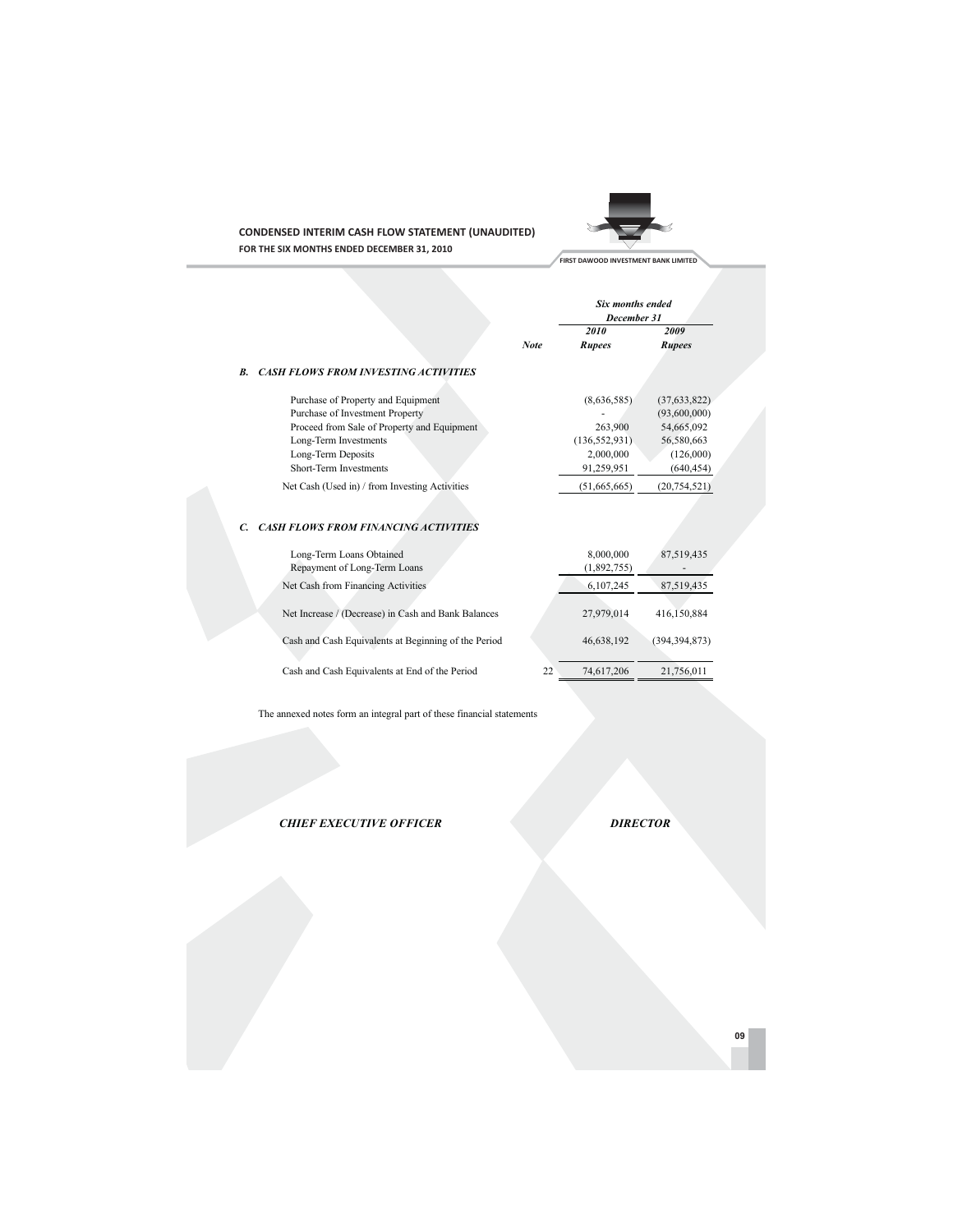

**CONDENSED INTERIM CASH FLOW STATEMENT (UNAUDITED)** FOR THE SIX MONTHS ENDED DECEMBER 31, 2010

|    |                                                      |             | Six months ended<br>December 31 |                 |
|----|------------------------------------------------------|-------------|---------------------------------|-----------------|
|    |                                                      |             | 2010                            | 2009            |
|    |                                                      | <b>Note</b> | <b>Rupees</b>                   | <b>Rupees</b>   |
| B. | <b>CASH FLOWS FROM INVESTING ACTIVITIES</b>          |             |                                 |                 |
|    | Purchase of Property and Equipment                   |             | (8,636,585)                     | (37, 633, 822)  |
|    | Purchase of Investment Property                      |             |                                 | (93,600,000)    |
|    | Proceed from Sale of Property and Equipment          |             | 263,900                         | 54,665,092      |
|    | Long-Term Investments                                |             | (136, 552, 931)                 | 56,580,663      |
|    | Long-Term Deposits                                   |             | 2,000,000                       | (126,000)       |
|    | Short-Term Investments                               |             | 91,259,951                      | (640, 454)      |
|    | Net Cash (Used in) / from Investing Activities       |             | (51,665,665)                    | (20, 754, 521)  |
|    |                                                      |             |                                 |                 |
| C. | <b>CASH FLOWS FROM FINANCING ACTIVITIES</b>          |             |                                 |                 |
|    | Long-Term Loans Obtained                             |             | 8,000,000                       | 87,519,435      |
|    | Repayment of Long-Term Loans                         |             | (1,892,755)                     |                 |
|    | Net Cash from Financing Activities                   |             | 6,107,245                       | 87,519,435      |
|    | Net Increase / (Decrease) in Cash and Bank Balances  |             | 27,979,014                      | 416,150,884     |
|    |                                                      |             |                                 |                 |
|    | Cash and Cash Equivalents at Beginning of the Period |             | 46,638,192                      | (394, 394, 873) |
|    |                                                      |             |                                 |                 |

The annexed notes form an integral part of these financial statements

Cash and Cash Equivalents at End of the Period

**CHIEF EXECUTIVE OFFICER** 

**DIRECTOR** 

21,756,011

74,617,206

 $22$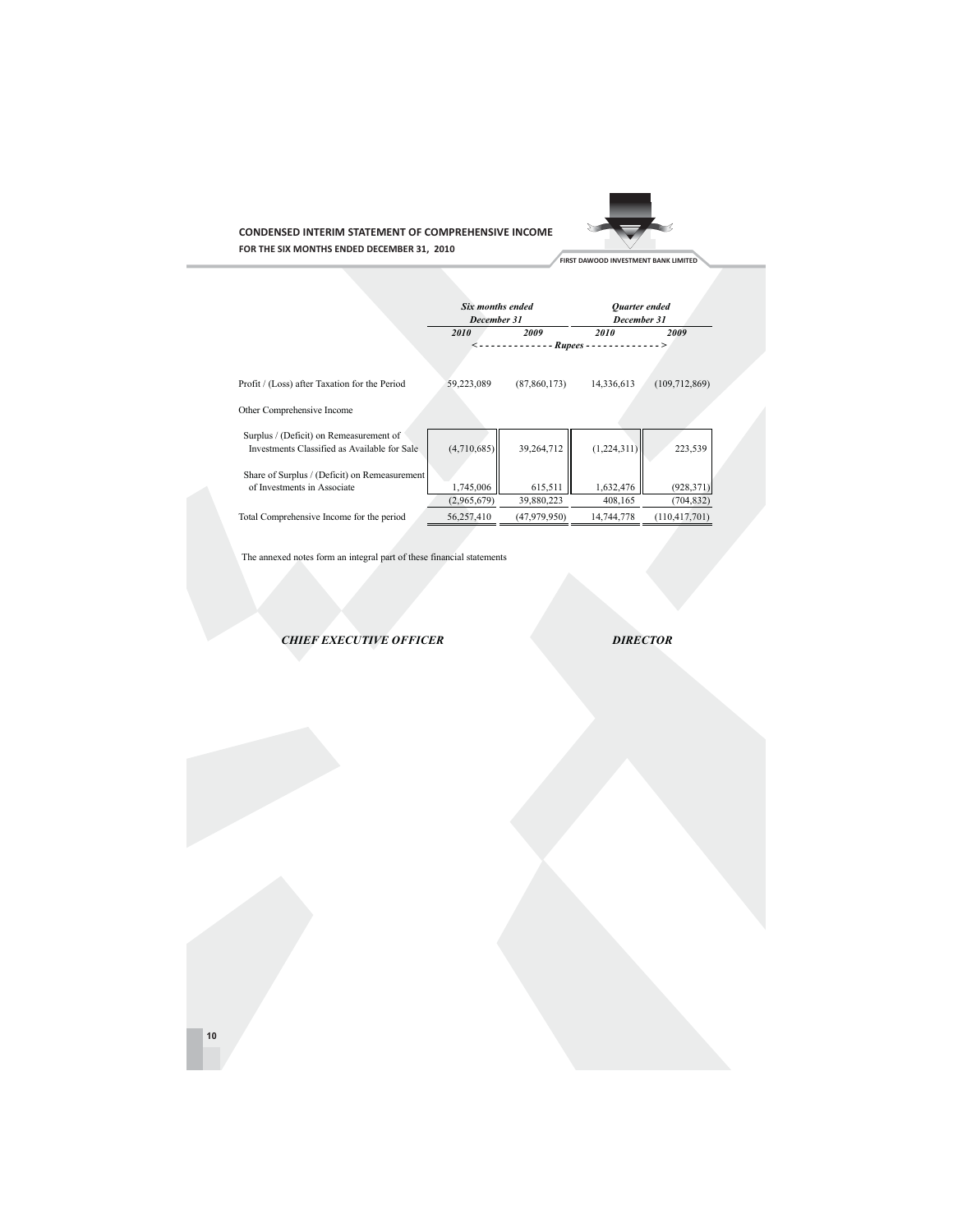

**CONDENSED INTERIM STATEMENT OF COMPREHENSIVE INCOME** FOR THE SIX MONTHS ENDED DECEMBER 31, 2010

**Contract Contract** 

|                                                                                         |             | Six months ended<br>December 31 |                         | Ouarter ended<br>December 31 |
|-----------------------------------------------------------------------------------------|-------------|---------------------------------|-------------------------|------------------------------|
|                                                                                         | 2010        | 2009                            | 2010                    | 2009                         |
|                                                                                         |             | ------                          | $Runees$ -------------> |                              |
| Profit / (Loss) after Taxation for the Period                                           | 59,223,089  | (87, 860, 173)                  | 14,336,613              | (109, 712, 869)              |
| Other Comprehensive Income                                                              |             |                                 |                         |                              |
| Surplus / (Deficit) on Remeasurement of<br>Investments Classified as Available for Sale | (4,710,685) | 39,264,712                      | (1,224,311)             | 223,539                      |
| Share of Surplus / (Deficit) on Remeasurement                                           |             |                                 |                         |                              |
| of Investments in Associate                                                             | 1,745,006   | 615,511                         | 1,632,476               | (928, 371)                   |
|                                                                                         | (2,965,679) | 39,880,223                      | 408,165                 | (704, 832)                   |
| Total Comprehensive Income for the period                                               | 56,257,410  | (47,979,950)                    | 14,744,778              | (110, 417, 701)              |

The annexed notes form an integral part of these financial statements

**CHIEF EXECUTIVE OFFICER** 

**DIRECTOR**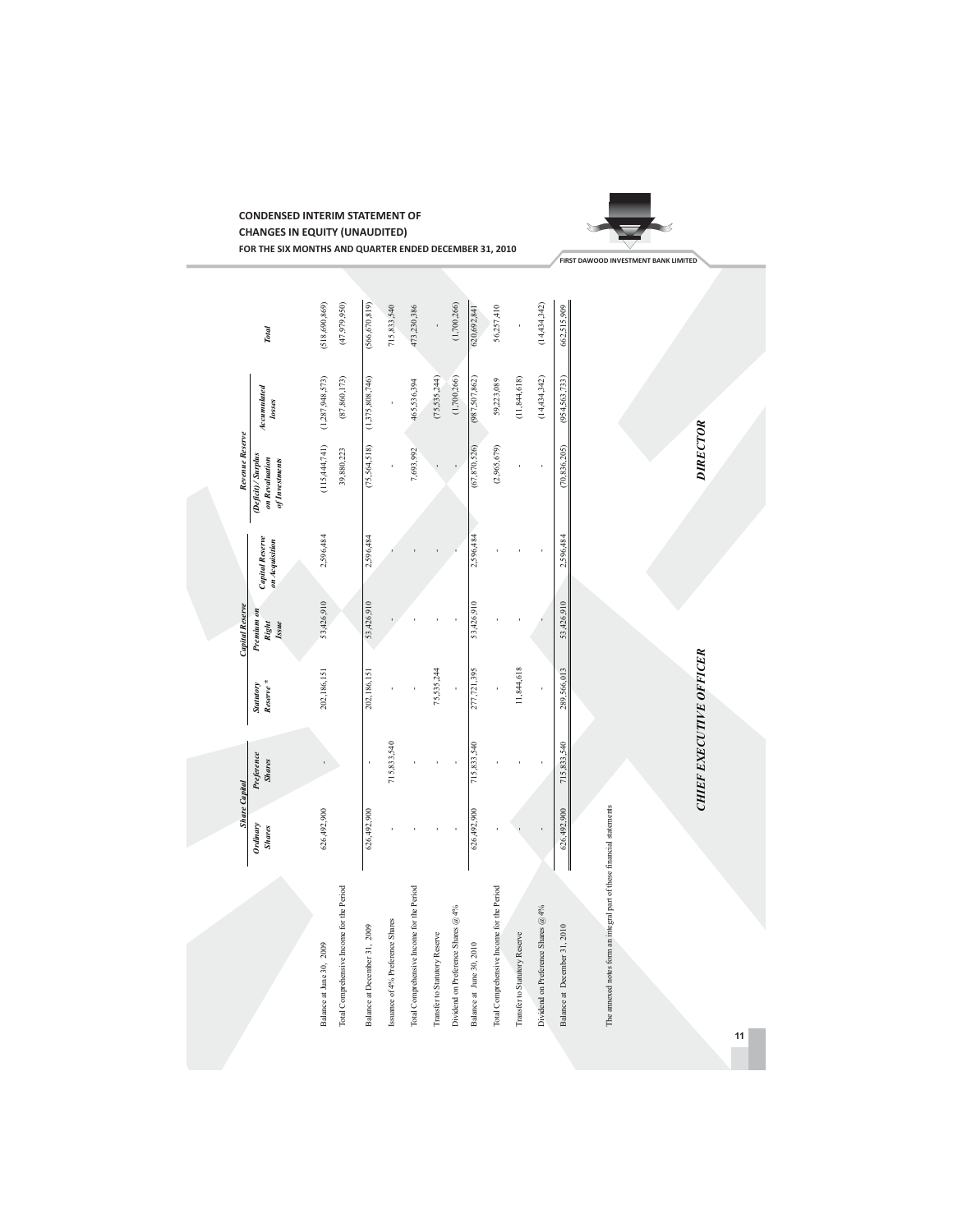

**CHANGES IN EQUITY (UNAUDITED)** FOR THE SIX MONTHS AND QUARTER ENDED DECEMBER 31, 2010

**CONDENSED INTERIM STATEMENT OF**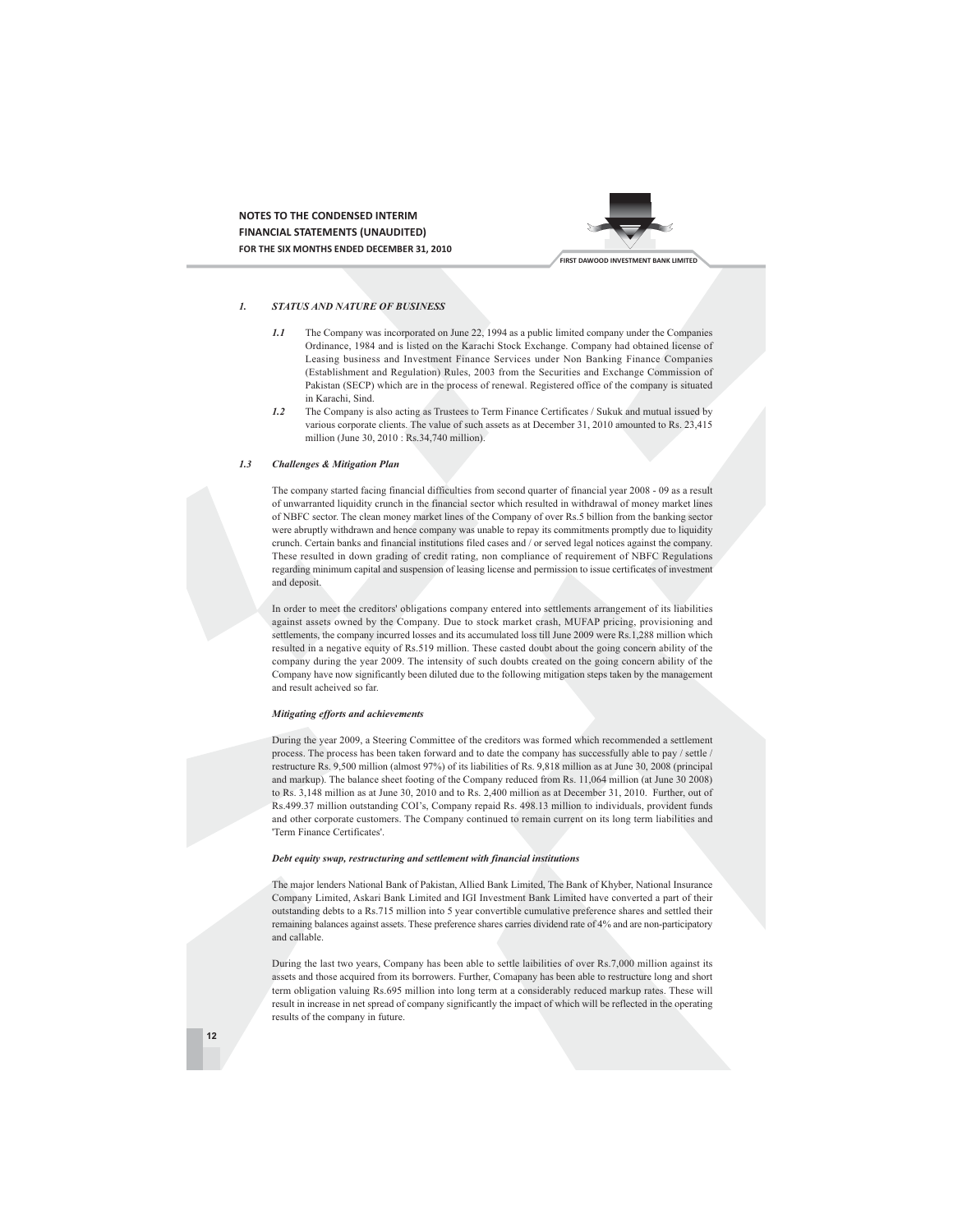NOTES TO THE CONDENSED INTERIM **FINANCIAL STATEMENTS (UNAUDITED)** FOR THE SIX MONTHS ENDED DECEMBER 31, 2010



#### **STATUS AND NATURE OF BUSINESS**  $\mathbf{I}$

- The Company was incorporated on June 22, 1994 as a public limited company under the Companies  $1.1$ Ordinance, 1984 and is listed on the Karachi Stock Exchange. Company had obtained license of Leasing business and Investment Finance Services under Non Banking Finance Companies (Establishment and Regulation) Rules, 2003 from the Securities and Exchange Commission of Pakistan (SECP) which are in the process of renewal. Registered office of the company is situated in Karachi, Sind.
- $1.2$ The Company is also acting as Trustees to Term Finance Certificates / Sukuk and mutual issued by various corporate clients. The value of such assets as at December 31, 2010 amounted to Rs. 23.415 million (June 30, 2010 : Rs.34,740 million).

#### $1.3$ **Challenges & Mitigation Plan**

The company started facing financial difficulties from second quarter of financial year 2008 - 09 as a result of unwarranted liquidity crunch in the financial sector which resulted in withdrawal of money market lines of NBFC sector. The clean money market lines of the Company of over Rs.5 billion from the banking sector were abruptly withdrawn and hence company was unable to repay its commitments promptly due to liquidity crunch. Certain banks and financial institutions filed cases and / or served legal notices against the company. These resulted in down grading of credit rating, non compliance of requirement of NBFC Regulations regarding minimum capital and suspension of leasing license and permission to issue certificates of investment and deposit

In order to meet the creditors' obligations company entered into settlements arrangement of its liabilities against assets owned by the Company. Due to stock market crash, MUFAP pricing, provisioning and settlements, the company incurred losses and its accumulated loss till June 2009 were Rs.1,288 million which resulted in a negative equity of Rs.519 million. These casted doubt about the going concern ability of the company during the year 2009. The intensity of such doubts created on the going concern ability of the Company have now significantly been diluted due to the following mitigation steps taken by the management and result acheived so far.

### Mitigating efforts and achievements

During the year 2009, a Steering Committee of the creditors was formed which recommended a settlement process. The process has been taken forward and to date the company has successfully able to pay / settle / restructure Rs. 9,500 million (almost 97%) of its liabilities of Rs. 9,818 million as at June 30, 2008 (principal and markup). The balance sheet footing of the Company reduced from Rs. 11,064 million (at June 30 2008) to Rs. 3,148 million as at June 30, 2010 and to Rs. 2,400 million as at December 31, 2010. Further, out of Rs.499.37 million outstanding COI's, Company repaid Rs. 498.13 million to individuals, provident funds and other corporate customers. The Company continued to remain current on its long term liabilities and 'Term Finance Certificates'.

### Debt equity swap, restructuring and settlement with financial institutions

The major lenders National Bank of Pakistan, Allied Bank Limited, The Bank of Khyber, National Insurance Company Limited, Askari Bank Limited and IGI Investment Bank Limited have converted a part of their outstanding debts to a Rs.715 million into 5 year convertible cumulative preference shares and settled their remaining balances against assets. These preference shares carries dividend rate of 4% and are non-participatory and callable.

During the last two years, Company has been able to settle laibilities of over Rs.7,000 million against its assets and those acquired from its borrowers. Further, Comapany has been able to restructure long and short term obligation valuing Rs.695 million into long term at a considerably reduced markup rates. These will result in increase in net spread of company significantly the impact of which will be reflected in the operating results of the company in future.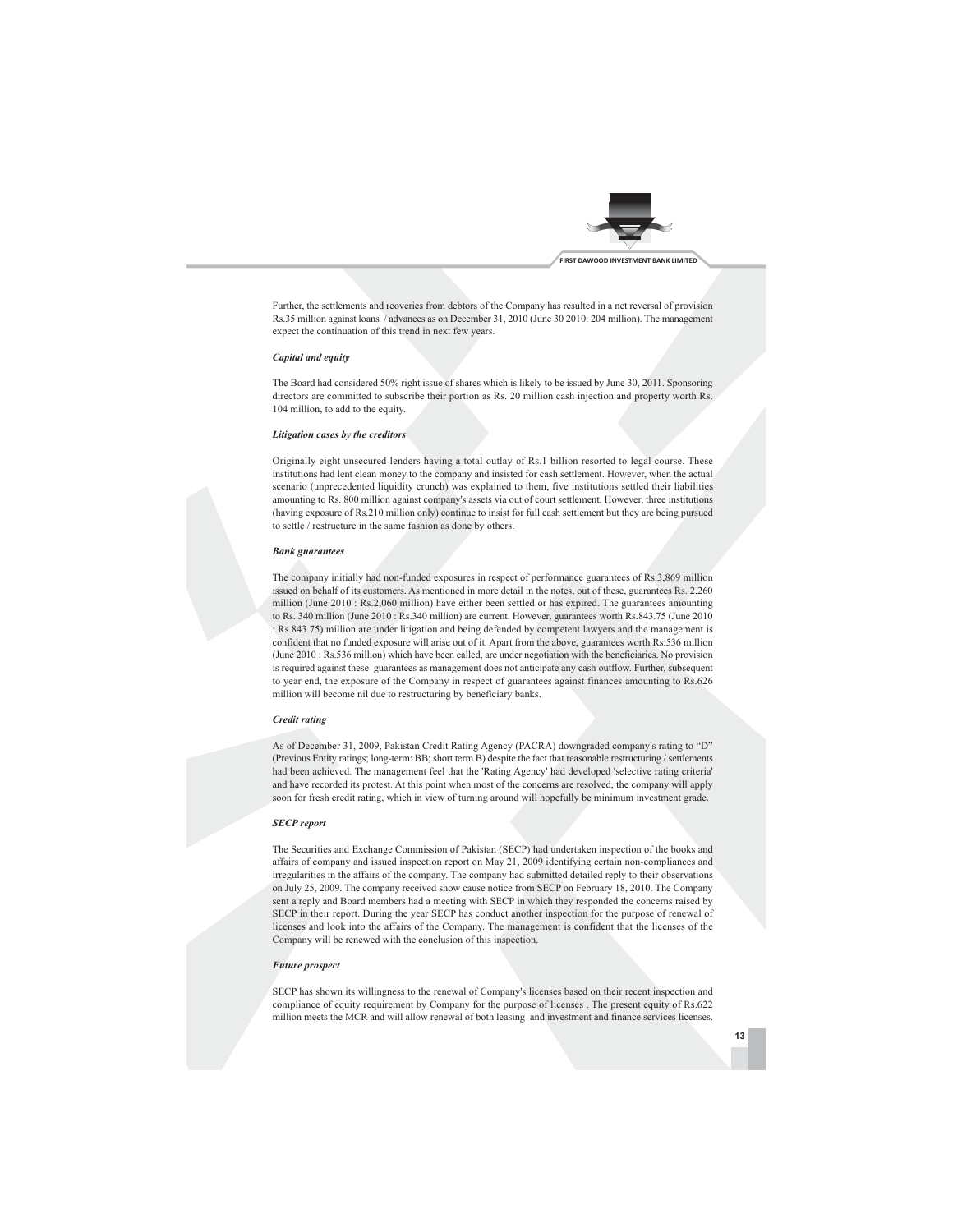

Further, the settlements and reoveries from debtors of the Company has resulted in a net reversal of provision Rs.35 million against loans / advances as on December 31, 2010 (June 30 2010: 204 million). The management expect the continuation of this trend in next few years.

### **Canital and equity**

The Board had considered 50% right issue of shares which is likely to be issued by June 30, 2011. Sponsoring directors are committed to subscribe their portion as Rs. 20 million cash injection and property worth Rs. 104 million, to add to the equity.

### Litigation cases by the creditors

Originally eight unsecured lenders having a total outlay of Rs.1 billion resorted to legal course. These institutions had lent clean money to the company and insisted for cash settlement. However, when the actual scenario (unprecedented liquidity crunch) was explained to them, five institutions settled their liabilities amounting to Rs. 800 million against company's assets via out of court settlement. However, three institutions (having exposure of Rs.210 million only) continue to insist for full cash settlement but they are being pursued to settle / restructure in the same fashion as done by others.

### **Bank** guarantees

The company initially had non-funded exposures in respect of performance guarantees of Rs.3,869 million issued on behalf of its customers. As mentioned in more detail in the notes, out of these, guarantees Rs. 2,260 million (June 2010: Rs.2,060 million) have either been settled or has expired. The guarantees amounting to Rs. 340 million (June 2010: Rs.340 million) are current. However, guarantees worth Rs.843.75 (June 2010 : Rs.843.75) million are under litigation and being defended by competent lawyers and the management is confident that no funded exposure will arise out of it. Apart from the above, guarantees worth Rs.536 million (June 2010: Rs.536 million) which have been called, are under negotiation with the beneficiaries. No provision is required against these guarantees as management does not anticipate any cash outflow. Further, subsequent to year end, the exposure of the Company in respect of guarantees against finances amounting to Rs.626 million will become nil due to restructuring by beneficiary banks.

### **Credit rating**

As of December 31, 2009, Pakistan Credit Rating Agency (PACRA) downgraded company's rating to "D" (Previous Entity ratings; long-term: BB; short term B) despite the fact that reasonable restructuring / settlements had been achieved. The management feel that the 'Rating Agency' had developed 'selective rating criteria' and have recorded its protest. At this point when most of the concerns are resolved, the company will apply soon for fresh credit rating, which in view of turning around will hopefully be minimum investment grade.

### **SECP** report

The Securities and Exchange Commission of Pakistan (SECP) had undertaken inspection of the books and affairs of company and issued inspection report on May 21, 2009 identifying certain non-compliances and irregularities in the affairs of the company. The company had submitted detailed reply to their observations on July 25, 2009. The company received show cause notice from SECP on February 18, 2010. The Company sent a reply and Board members had a meeting with SECP in which they responded the concerns raised by SECP in their report. During the year SECP has conduct another inspection for the purpose of renewal of licenses and look into the affairs of the Company. The management is confident that the licenses of the Company will be renewed with the conclusion of this inspection.

### **Future** prospect

SECP has shown its willingness to the renewal of Company's licenses based on their recent inspection and compliance of equity requirement by Company for the purpose of licenses . The present equity of Rs.622 million meets the MCR and will allow renewal of both leasing and investment and finance services licenses.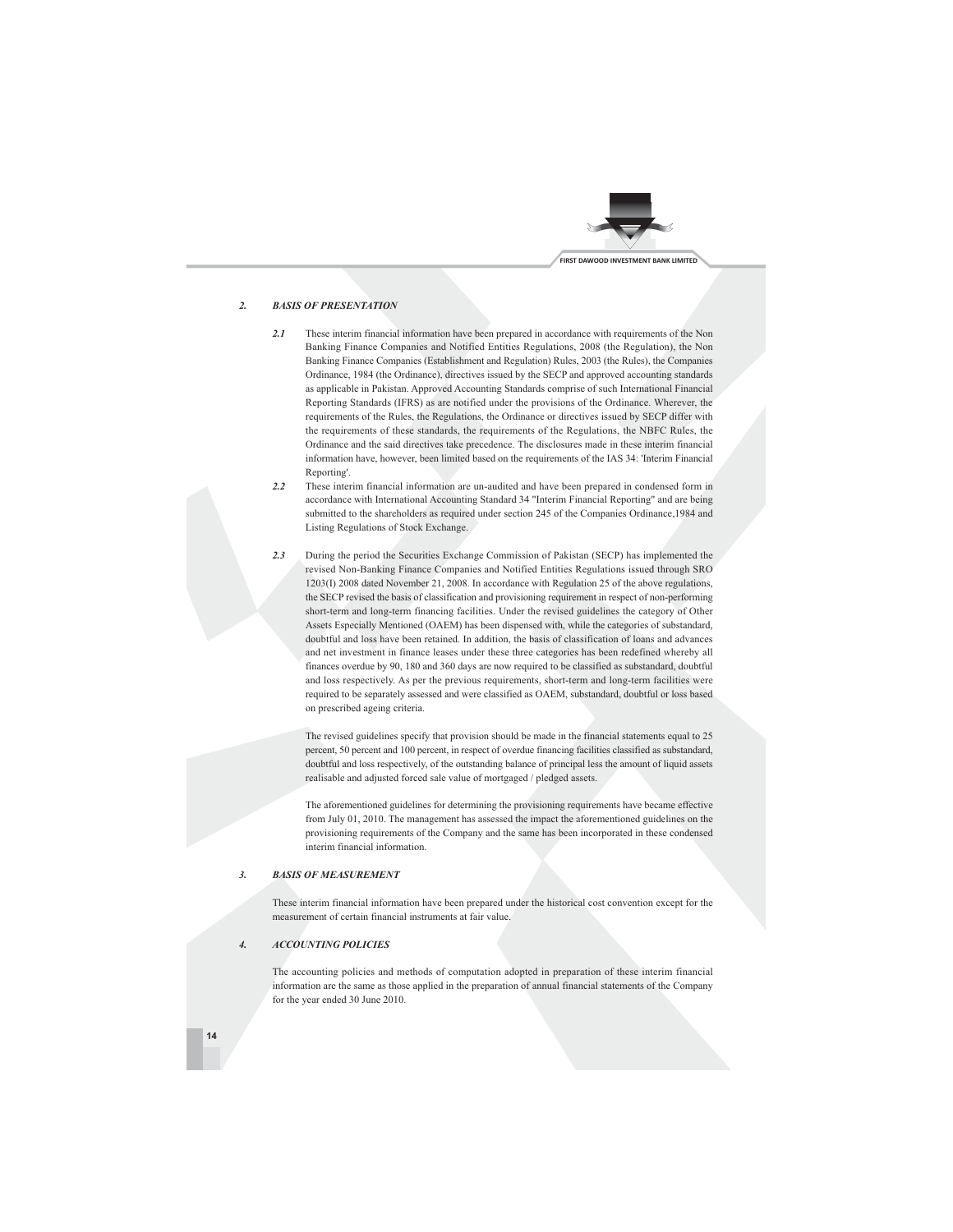

#### $\overline{2}$ **BASIS OF PRESENTATION**

- These interim financial information have been prepared in accordance with requirements of the Non  $2.1$ Banking Finance Companies and Notified Entities Regulations, 2008 (the Regulation), the Non Banking Finance Companies (Establishment and Regulation) Rules, 2003 (the Rules), the Companies Ordinance, 1984 (the Ordinance), directives issued by the SECP and approved accounting standards as applicable in Pakistan. Approved Accounting Standards comprise of such International Financial Reporting Standards (IFRS) as are notified under the provisions of the Ordinance. Wherever, the requirements of the Rules, the Regulations, the Ordinance or directives issued by SECP differ with the requirements of these standards, the requirements of the Regulations, the NBFC Rules, the Ordinance and the said directives take precedence. The disclosures made in these interim financial information have, however, been limited based on the requirements of the IAS 34: 'Interim Financial Reporting'.
- $2.2$ These interim financial information are un-audited and have been prepared in condensed form in accordance with International Accounting Standard 34 "Interim Financial Reporting" and are being submitted to the shareholders as required under section 245 of the Companies Ordinance, 1984 and Listing Regulations of Stock Exchange.
- During the period the Securities Exchange Commission of Pakistan (SECP) has implemented the  $2.3$ revised Non-Banking Finance Companies and Notified Entities Regulations issued through SRO 1203(I) 2008 dated November 21, 2008. In accordance with Regulation 25 of the above regulations, the SECP revised the basis of classification and provisioning requirement in respect of non-performing short-term and long-term financing facilities. Under the revised guidelines the category of Other Assets Especially Mentioned (OAEM) has been dispensed with, while the categories of substandard, doubtful and loss have been retained. In addition, the basis of classification of loans and advances and net investment in finance leases under these three categories has been redefined whereby all finances overdue by 90, 180 and 360 days are now required to be classified as substandard, doubtful and loss respectively. As per the previous requirements, short-term and long-term facilities were required to be separately assessed and were classified as OAEM, substandard, doubtful or loss based on prescribed ageing criteria.

The revised guidelines specify that provision should be made in the financial statements equal to 25 percent, 50 percent and 100 percent, in respect of overdue financing facilities classified as substandard, doubtful and loss respectively, of the outstanding balance of principal less the amount of liquid assets realisable and adjusted forced sale value of mortgaged / pledged assets.

The aforementioned guidelines for determining the provisioning requirements have became effective from July 01, 2010. The management has assessed the impact the aforementioned guidelines on the provisioning requirements of the Company and the same has been incorporated in these condensed interim financial information.

#### **BASIS OF MEASUREMENT**  $\overline{3}$ .

These interim financial information have been prepared under the historical cost convention except for the measurement of certain financial instruments at fair value.

#### **ACCOUNTING POLICIES**  $\overline{4}$

The accounting policies and methods of computation adopted in preparation of these interim financial information are the same as those applied in the preparation of annual financial statements of the Company for the year ended 30 June 2010.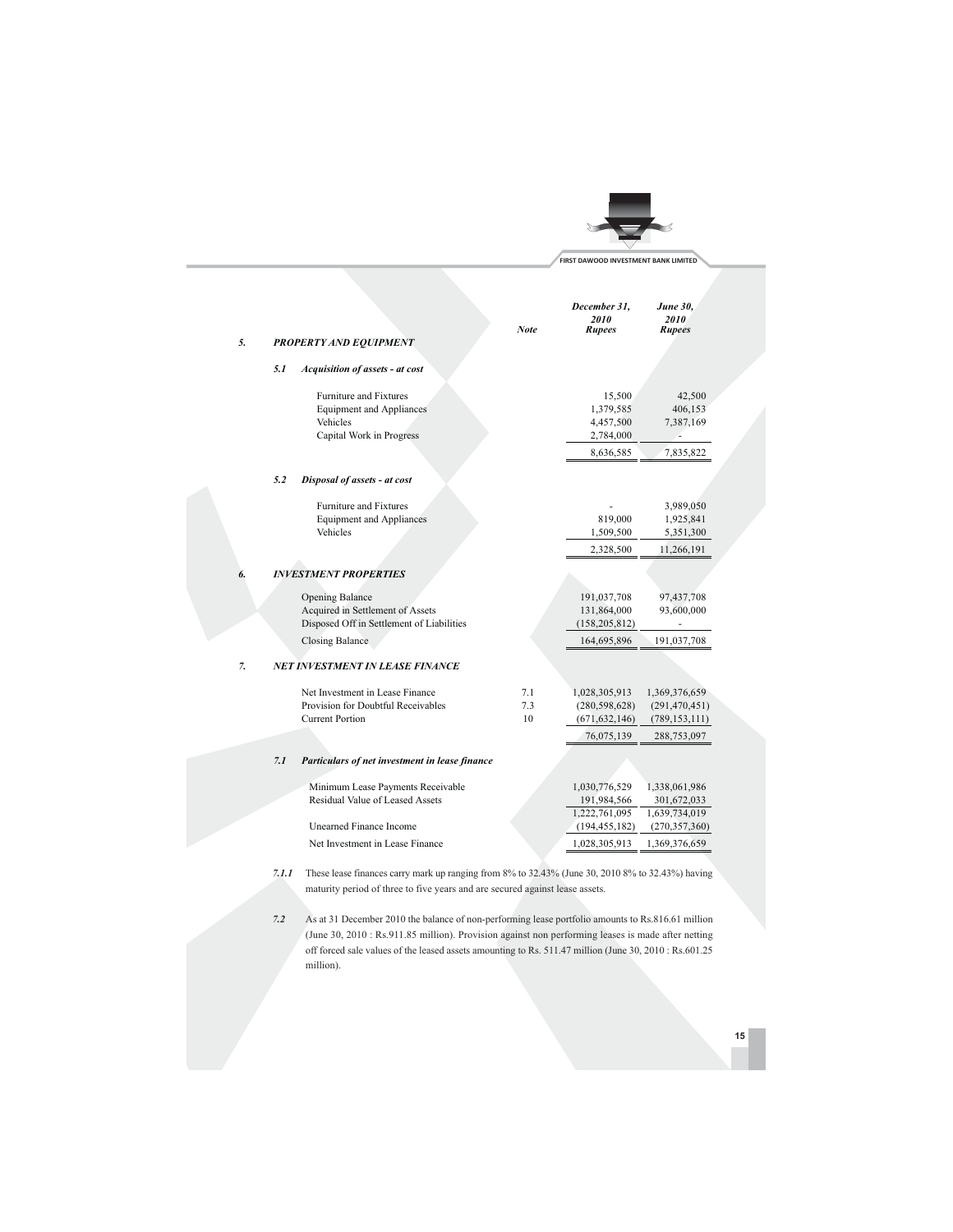|    |     |                                                                                                          |                  | FIRST DAWOOD INVESTMENT BANK LIMITED                       |                                                     |  |
|----|-----|----------------------------------------------------------------------------------------------------------|------------------|------------------------------------------------------------|-----------------------------------------------------|--|
| 5. |     | <b>PROPERTY AND EQUIPMENT</b>                                                                            | <b>Note</b>      | December 31,<br>2010<br><b>Rupees</b>                      | <b>June 30,</b><br>2010<br><b>Rupees</b>            |  |
|    | 5.1 | <b>Acquisition of assets - at cost</b>                                                                   |                  |                                                            |                                                     |  |
|    |     | <b>Furniture and Fixtures</b><br><b>Equipment and Appliances</b><br>Vehicles<br>Capital Work in Progress |                  | 15,500<br>1,379,585<br>4,457,500<br>2,784,000<br>8,636,585 | 42,500<br>406,153<br>7,387,169<br>7,835,822         |  |
|    | 5.2 | Disposal of assets - at cost                                                                             |                  |                                                            |                                                     |  |
|    |     | <b>Furniture and Fixtures</b><br><b>Equipment and Appliances</b><br>Vehicles                             |                  | 819,000<br>1,509,500<br>2,328,500                          | 3,989,050<br>1,925,841<br>5,351,300<br>11,266,191   |  |
|    |     | <b>INVESTMENT PROPERTIES</b>                                                                             |                  |                                                            |                                                     |  |
|    |     | <b>Opening Balance</b><br>Acquired in Settlement of Assets<br>Disposed Off in Settlement of Liabilities  |                  | 191,037,708<br>131,864,000<br>(158, 205, 812)              | 97,437,708<br>93,600,000                            |  |
|    |     | <b>Closing Balance</b>                                                                                   |                  | 164,695,896                                                | 191,037,708                                         |  |
| 7. |     | NET INVESTMENT IN LEASE FINANCE                                                                          |                  |                                                            |                                                     |  |
|    |     | Net Investment in Lease Finance<br>Provision for Doubtful Receivables<br><b>Current Portion</b>          | 7.1<br>7.3<br>10 | 1,028,305,913<br>(280, 598, 628)<br>(671, 632, 146)        | 1,369,376,659<br>(291, 470, 451)<br>(789, 153, 111) |  |
|    |     |                                                                                                          |                  | 76,075,139                                                 | 288,753,097                                         |  |
|    | 7.1 | Particulars of net investment in lease finance                                                           |                  |                                                            |                                                     |  |
|    |     | Minimum Lease Payments Receivable<br>Residual Value of Leased Assets<br>Unearned Finance Income          |                  | 1,030,776,529<br>191,984,566<br>1,222,761,095              | 1,338,061,986<br>301,672,033<br>1,639,734,019       |  |
|    |     |                                                                                                          |                  | (194, 455, 182)                                            | (270, 357, 360)                                     |  |

7.1.1 These lease finances carry mark up ranging from 8% to 32.43% (June 30, 2010 8% to 32.43%) having maturity period of three to five years and are secured against lease assets.

 $7.2$ As at 31 December 2010 the balance of non-performing lease portfolio amounts to Rs.816.61 million (June 30, 2010: Rs.911.85 million). Provision against non performing leases is made after netting off forced sale values of the leased assets amounting to Rs. 511.47 million (June 30, 2010 : Rs.601.25 million).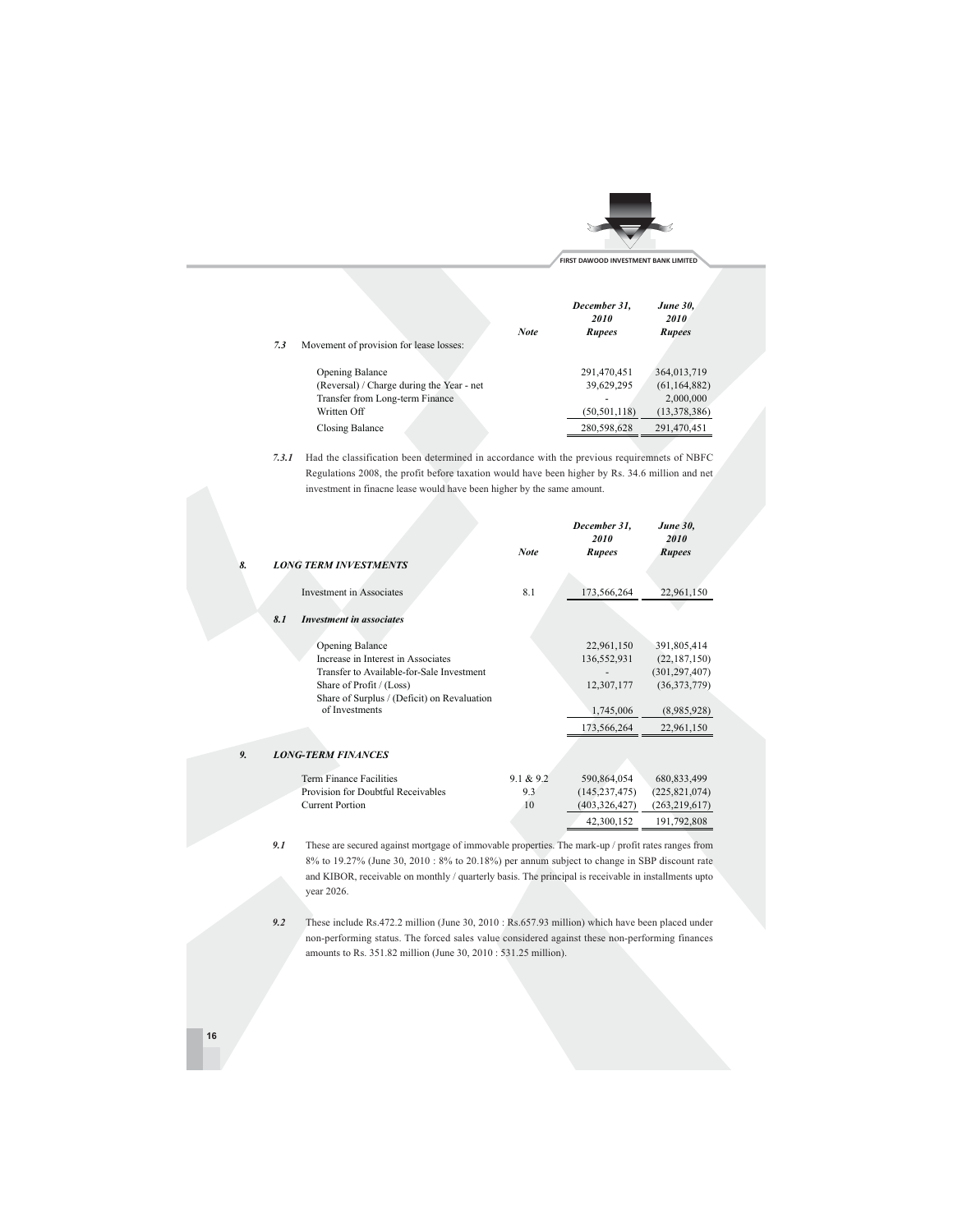

| <b>June 30.</b><br><i>2010</i><br><b>Rupees</b> | December 31.<br>2010<br><b>Rupees</b> | <b>Note</b> |                                           |
|-------------------------------------------------|---------------------------------------|-------------|-------------------------------------------|
|                                                 |                                       |             | Movement of provision for lease losses:   |
| 364,013,719                                     | 291,470,451                           |             | <b>Opening Balance</b>                    |
| (61, 164, 882)                                  | 39,629,295                            |             | (Reversal) / Charge during the Year - net |
| 2,000,000                                       | $\overline{\phantom{a}}$              |             | Transfer from Long-term Finance           |
| (13, 378, 386)                                  | (50, 501, 118)                        |             | Written Off                               |
| 291,470,451                                     | 280,598,628                           |             | Closing Balance                           |
|                                                 |                                       |             |                                           |

7.3.1 Had the classification been determined in accordance with the previous requiremnets of NBFC Regulations 2008, the profit before taxation would have been higher by Rs. 34.6 million and net investment in finacne lease would have been higher by the same amount.

| <b>LONG TERM INVESTMENTS</b>                                                                                                                                                                    | <b>Note</b>            | December 31,<br>2010<br><b>Rupees</b>                               | <b>June 30,</b><br>2010<br><b>Rupees</b>                                                      |
|-------------------------------------------------------------------------------------------------------------------------------------------------------------------------------------------------|------------------------|---------------------------------------------------------------------|-----------------------------------------------------------------------------------------------|
| <b>Investment</b> in Associates                                                                                                                                                                 | 8.1                    | 173,566,264                                                         | 22,961,150                                                                                    |
| 8.1<br><b>Investment in associates</b>                                                                                                                                                          |                        |                                                                     |                                                                                               |
| Opening Balance<br>Increase in Interest in Associates<br>Transfer to Available-for-Sale Investment<br>Share of Profit / (Loss)<br>Share of Surplus / (Deficit) on Revaluation<br>of Investments |                        | 22,961,150<br>136,552,931<br>12,307,177<br>1,745,006<br>173,566,264 | 391,805,414<br>(22, 187, 150)<br>(301, 297, 407)<br>(36,373,779)<br>(8,985,928)<br>22,961,150 |
| <b>LONG-TERM FINANCES</b>                                                                                                                                                                       |                        |                                                                     |                                                                                               |
| <b>Term Finance Facilities</b><br>Provision for Doubtful Receivables<br><b>Current Portion</b>                                                                                                  | 9.1 & 9.2<br>9.3<br>10 | 590,864,054<br>(145, 237, 475)<br>(403, 326, 427)<br>42,300,152     | 680, 833, 499<br>(225, 821, 074)<br>(263, 219, 617)<br>191,792,808                            |

 $\it 9.1$ These are secured against mortgage of immovable properties. The mark-up  $\prime$  profit rates ranges from 8% to 19.27% (June 30, 2010 : 8% to 20.18%) per annum subject to change in SBP discount rate and KIBOR, receivable on monthly / quarterly basis. The principal is receivable in installments upto year 2026.

 $9.2$ These include Rs.472.2 million (June 30, 2010: Rs.657.93 million) which have been placed under non-performing status. The forced sales value considered against these non-performing finances amounts to Rs. 351.82 million (June 30, 2010: 531.25 million).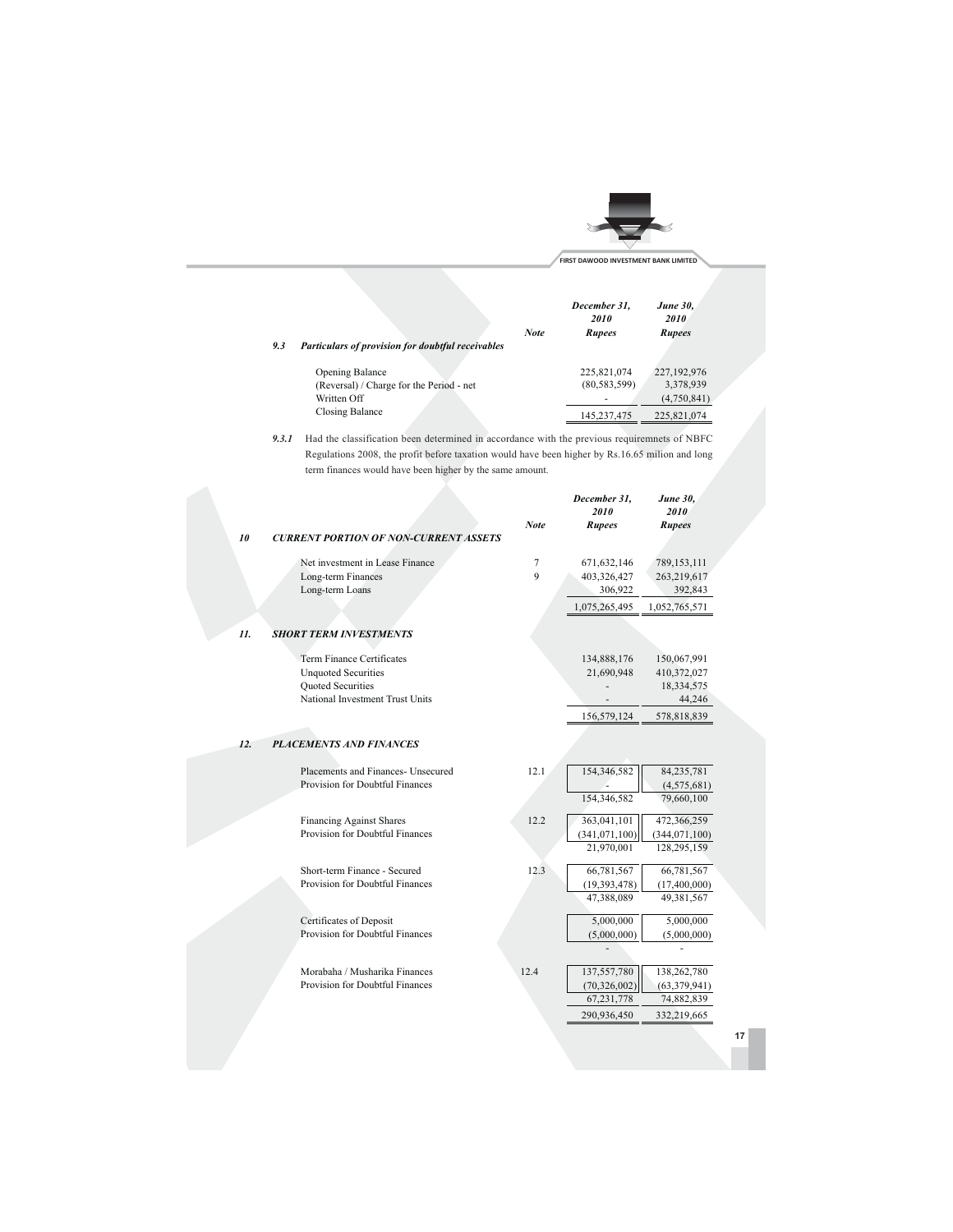

December 31,

**June 30,** 

|     |                                                          | <b>Note</b> | December 31.<br>2010<br><b>Rupees</b> | <b>June 30.</b><br>2010<br><b>Rupees</b> |  |
|-----|----------------------------------------------------------|-------------|---------------------------------------|------------------------------------------|--|
| 9.3 | <b>Particulars of provision for doubtful receivables</b> |             |                                       |                                          |  |
|     | <b>Opening Balance</b>                                   |             | 225,821,074                           | 227,192,976                              |  |
|     | (Reversal) / Charge for the Period - net                 |             | (80, 583, 599)                        | 3,378,939                                |  |
|     | Written Off                                              |             |                                       | (4,750,841)                              |  |
|     | Closing Balance                                          |             | 145 237 475                           | 225 821 074                              |  |

9.3.1 Had the classification been determined in accordance with the previous requiremnets of NBFC Regulations 2008, the profit before taxation would have been higher by Rs.16.65 milion and long term finances would have been higher by the same amount.

|     |                                                      |              | <i>2010</i>     | <i>2010</i>    |    |
|-----|------------------------------------------------------|--------------|-----------------|----------------|----|
|     |                                                      | <b>Note</b>  | Rupees          | Rupees         |    |
| 10  | <b>CURRENT PORTION OF NON-CURRENT ASSETS</b>         |              |                 |                |    |
|     | Net investment in Lease Finance                      | 7            | 671, 632, 146   | 789,153,111    |    |
|     | Long-term Finances                                   | $\mathbf{Q}$ | 403,326,427     | 263,219,617    |    |
|     | Long-term Loans                                      |              | 306,922         | 392,843        |    |
|     |                                                      |              | 1,075,265,495   | 1,052,765,571  |    |
| 11. | <b>SHORT TERM INVESTMENTS</b>                        |              |                 |                |    |
|     |                                                      |              |                 |                |    |
|     | Term Finance Certificates                            |              | 134,888,176     | 150,067,991    |    |
|     | <b>Unquoted Securities</b>                           |              | 21,690,948      | 410,372,027    |    |
|     | Quoted Securities<br>National Investment Trust Units |              |                 | 18,334,575     |    |
|     |                                                      |              |                 | 44,246         |    |
|     |                                                      |              | 156,579,124     | 578,818,839    |    |
| 12. | <b>PLACEMENTS AND FINANCES</b>                       |              |                 |                |    |
|     |                                                      |              |                 |                |    |
|     | Placements and Finances- Unsecured                   | 12.1         | 154,346,582     | 84,235,781     |    |
|     | Provision for Doubtful Finances                      |              |                 | (4,575,681)    |    |
|     |                                                      |              | 154,346,582     | 79,660,100     |    |
|     | <b>Financing Against Shares</b>                      | 12.2         | 363,041,101     | 472,366,259    |    |
|     | Provision for Doubtful Finances                      |              | (341, 071, 100) | (344,071,100)  |    |
|     |                                                      |              | 21,970,001      | 128,295,159    |    |
|     | Short-term Finance - Secured                         | 12.3         | 66,781,567      | 66,781,567     |    |
|     | Provision for Doubtful Finances                      |              | (19, 393, 478)  | (17,400,000)   |    |
|     |                                                      |              | 47,388,089      | 49,381,567     |    |
|     | Certificates of Deposit                              |              | 5,000,000       | 5,000,000      |    |
|     | Provision for Doubtful Finances                      |              | (5,000,000)     | (5,000,000)    |    |
|     |                                                      |              |                 |                |    |
|     | Morabaha / Musharika Finances                        | 12.4         | 137,557,780     | 138,262,780    |    |
|     | Provision for Doubtful Finances                      |              | (70, 326, 002)  | (63, 379, 941) |    |
|     |                                                      |              | 67,231,778      | 74,882,839     |    |
|     |                                                      |              | 290,936,450     | 332,219,665    |    |
|     |                                                      |              |                 |                | 17 |
|     |                                                      |              |                 |                |    |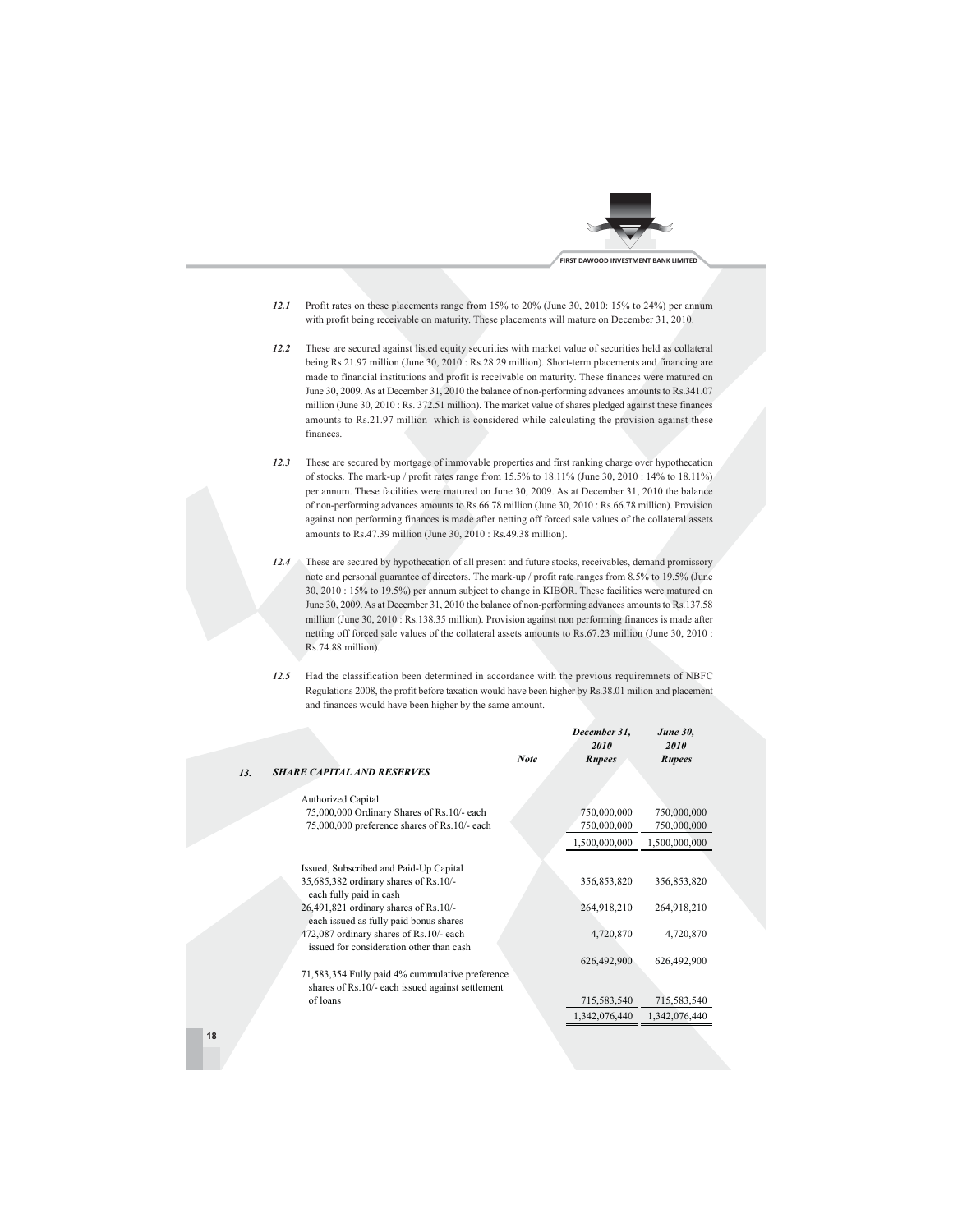

- 12.1 Profit rates on these placements range from 15% to 20% (June 30, 2010: 15% to 24%) per annum with profit being receivable on maturity. These placements will mature on December 31, 2010.
- 12.2 These are secured against listed equity securities with market value of securities held as collateral being Rs.21.97 million (June 30, 2010: Rs.28.29 million). Short-term placements and financing are made to financial institutions and profit is receivable on maturity. These finances were matured on June 30, 2009. As at December 31, 2010 the balance of non-performing advances amounts to Rs.341.07 million (June 30, 2010: Rs. 372.51 million). The market value of shares pledged against these finances amounts to Rs.21.97 million which is considered while calculating the provision against these finances.
- 12.3 These are secured by mortgage of immovable properties and first ranking charge over hypothecation of stocks. The mark-up / profit rates range from 15.5% to 18.11% (June 30, 2010 : 14% to 18.11%) per annum. These facilities were matured on June 30, 2009. As at December 31, 2010 the balance of non-performing advances amounts to Rs.66.78 million (June 30, 2010 : Rs.66.78 million). Provision against non performing finances is made after netting off forced sale values of the collateral assets amounts to Rs.47.39 million (June 30, 2010 : Rs.49.38 million).
- 12.4 These are secured by hypothecation of all present and future stocks, receivables, demand promissory note and personal guarantee of directors. The mark-up / profit rate ranges from 8.5% to 19.5% (June 30, 2010: 15% to 19.5%) per annum subject to change in KIBOR. These facilities were matured on June 30, 2009. As at December 31, 2010 the balance of non-performing advances amounts to Rs.137.58 million (June 30, 2010: Rs.138.35 million). Provision against non performing finances is made after netting off forced sale values of the collateral assets amounts to Rs.67.23 million (June 30, 2010: Rs.74.88 million).
- 12.5 Had the classification been determined in accordance with the previous requiremnets of NBFC Regulations 2008, the profit before taxation would have been higher by Rs.38.01 milion and placement and finances would have been higher by the same amount.

|                                                  | <b>Note</b> | December 31,<br>2010<br><b>Rupees</b> | <b>June 30,</b><br>2010<br><b>Rupees</b> |  |
|--------------------------------------------------|-------------|---------------------------------------|------------------------------------------|--|
| <b>SHARE CAPITAL AND RESERVES</b><br>13.         |             |                                       |                                          |  |
|                                                  |             |                                       |                                          |  |
| Authorized Capital                               |             |                                       |                                          |  |
| 75,000,000 Ordinary Shares of Rs.10/- each       |             | 750,000,000                           | 750,000,000                              |  |
| 75,000,000 preference shares of Rs.10/- each     |             | 750,000,000                           | 750,000,000                              |  |
|                                                  |             | 1,500,000,000                         | 1,500,000,000                            |  |
| Issued, Subscribed and Paid-Up Capital           |             |                                       |                                          |  |
| 35,685,382 ordinary shares of Rs.10/-            |             | 356,853,820                           | 356,853,820                              |  |
| each fully paid in cash                          |             |                                       |                                          |  |
| 26,491,821 ordinary shares of Rs.10/-            |             | 264,918,210                           | 264,918,210                              |  |
| each issued as fully paid bonus shares           |             |                                       |                                          |  |
| 472,087 ordinary shares of Rs.10/- each          |             | 4,720,870                             | 4,720,870                                |  |
| issued for consideration other than cash         |             |                                       |                                          |  |
|                                                  |             | 626,492,900                           | 626,492,900                              |  |
| 71,583,354 Fully paid 4% cummulative preference  |             |                                       |                                          |  |
| shares of Rs.10/- each issued against settlement |             |                                       |                                          |  |
| of loans                                         |             | 715,583,540                           | 715,583,540                              |  |
|                                                  |             | 1,342,076,440                         | 1,342,076,440                            |  |
|                                                  |             |                                       |                                          |  |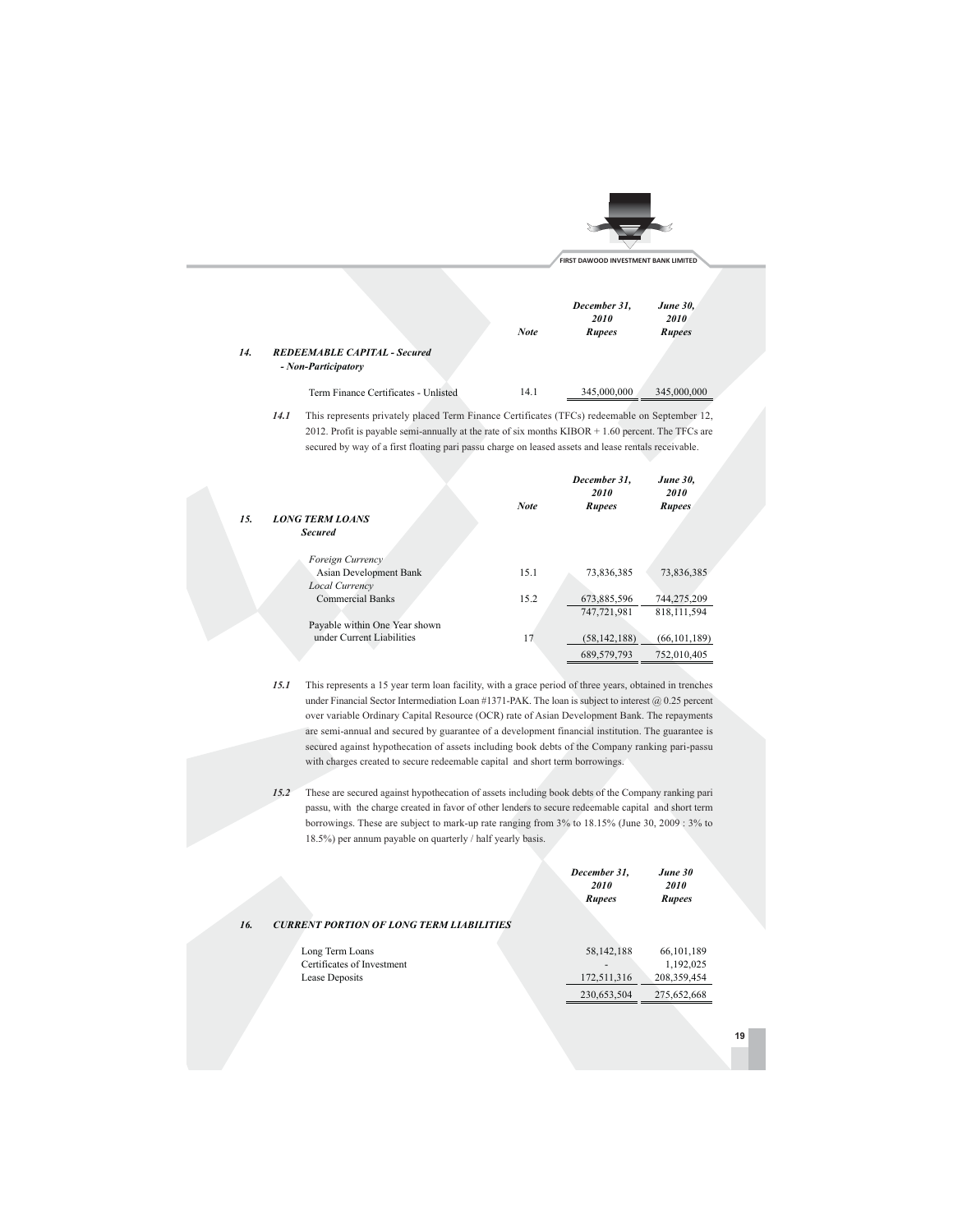|     |                                                            |             | FIRST DAWOOD INVESTMENT BANK LIMITED  |                                          |  |
|-----|------------------------------------------------------------|-------------|---------------------------------------|------------------------------------------|--|
|     |                                                            | <b>Note</b> | December 31,<br>2010<br><b>Rupees</b> | <b>June 30,</b><br>2010<br><b>Rupees</b> |  |
| 14. | <b>REDEEMABLE CAPITAL - Secured</b><br>- Non-Participatory |             |                                       |                                          |  |
|     | Term Finance Certificates - Unlisted                       | 14.1        | 345,000,000                           | 345,000,000                              |  |

14.1 This represents privately placed Term Finance Certificates (TFCs) redeemable on September 12, 2012. Profit is payable semi-annually at the rate of six months  $KIBOR + 1.60$  percent. The TFCs are secured by way of a first floating pari passu charge on leased assets and lease rentals receivable.

|                               |             | December 31.<br>2010 | <b>June 30,</b><br>2010 |
|-------------------------------|-------------|----------------------|-------------------------|
|                               | <b>Note</b> | Rupees               | <b>Rupees</b>           |
| <b>LONG TERM LOANS</b>        |             |                      |                         |
| <b>Secured</b>                |             |                      |                         |
|                               |             |                      |                         |
| Foreign Currency              |             |                      |                         |
| Asian Development Bank        | 15.1        | 73,836,385           | 73,836,385              |
| <b>Local Currency</b>         |             |                      |                         |
| <b>Commercial Banks</b>       | 15.2        | 673,885,596          | 744,275,209             |
|                               |             | 747,721,981          | 818.111.594             |
| Payable within One Year shown |             |                      |                         |
| under Current Liabilities     | 17          | (58, 142, 188)       | (66, 101, 189)          |
|                               |             | 689,579,793          | 752,010,405             |

15.

15.1 This represents a 15 year term loan facility, with a grace period of three years, obtained in trenches under Financial Sector Intermediation Loan #1371-PAK. The loan is subject to interest  $@0.25$  percent over variable Ordinary Capital Resource (OCR) rate of Asian Development Bank. The repayments are semi-annual and secured by guarantee of a development financial institution. The guarantee is secured against hypothecation of assets including book debts of the Company ranking pari-passu with charges created to secure redeemable capital and short term borrowings.

15.2 These are secured against hypothecation of assets including book debts of the Company ranking pari passu, with the charge created in favor of other lenders to secure redeemable capital and short term borrowings. These are subject to mark-up rate ranging from  $3\%$  to  $18.15\%$  (June 30, 2009:  $3\%$  to 18.5%) per annum payable on quarterly / half yearly basis.

| 16.<br><b>CURRENT PORTION OF LONG TERM LIABILITIES</b>          | December 31,<br>2010<br><b>Rupees</b> | June 30<br>2010<br><b>Rupees</b>           |  |
|-----------------------------------------------------------------|---------------------------------------|--------------------------------------------|--|
| Long Term Loans<br>Certificates of Investment<br>Lease Deposits | 58,142,188<br>172,511,316             | 66, 101, 189<br>1,192,025<br>208, 359, 454 |  |
|                                                                 | 230,653,504                           | 275.652.668                                |  |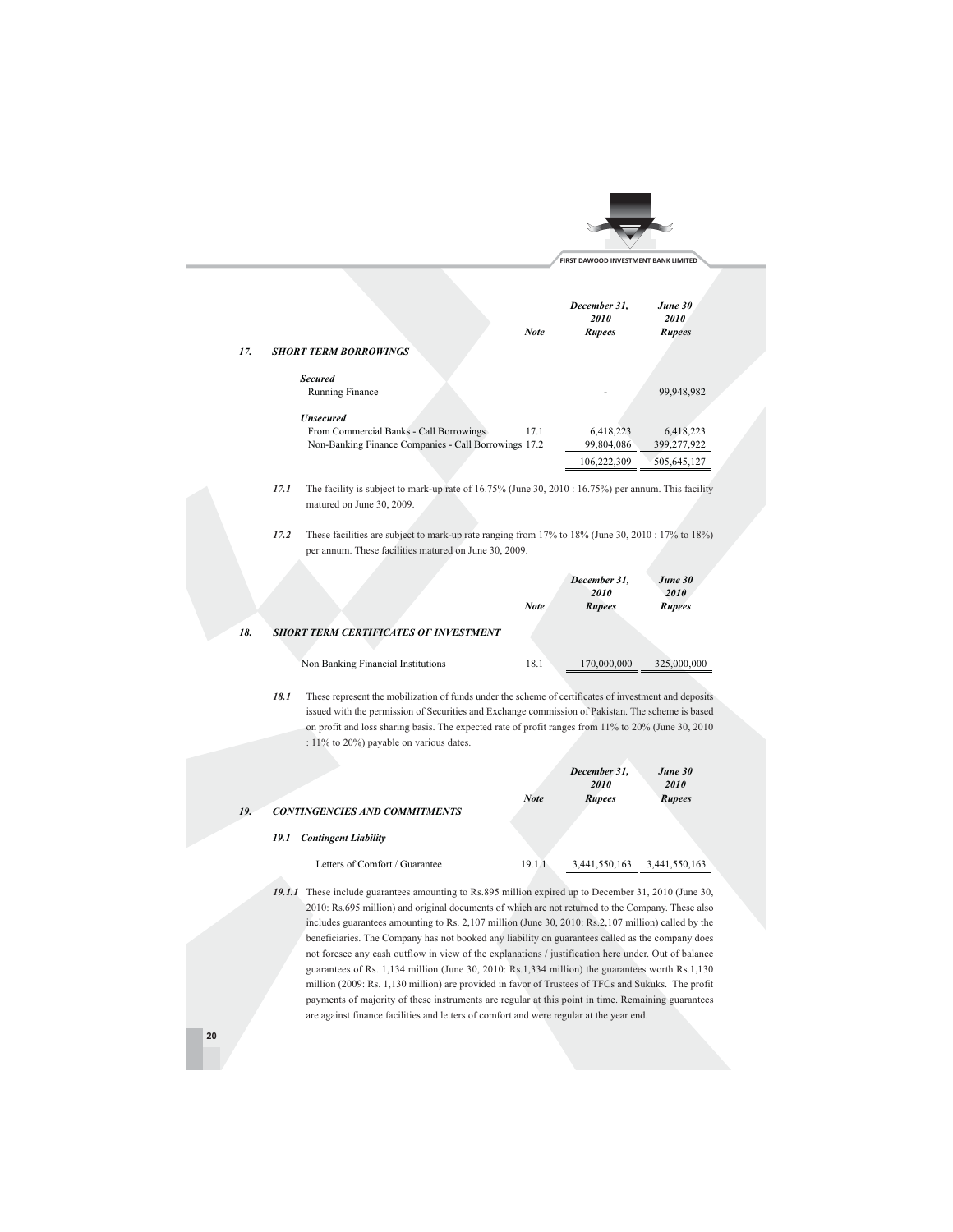|                                         | <b>Note</b>                                          | December 31,<br>2010<br><b>Rupees</b> | June 30<br><i>2010</i><br><b>Rupees</b> |
|-----------------------------------------|------------------------------------------------------|---------------------------------------|-----------------------------------------|
| 17.<br><b>SHORT TERM BORROWINGS</b>     |                                                      |                                       |                                         |
| <b>Secured</b>                          |                                                      |                                       |                                         |
| Running Finance                         |                                                      |                                       | 99,948,982                              |
| <b><i><u>Unsecured</u></i></b>          |                                                      |                                       |                                         |
| From Commercial Banks - Call Borrowings | 17.1                                                 | 6,418,223                             | 6,418,223                               |
|                                         | Non-Banking Finance Companies - Call Borrowings 17.2 | 99,804,086                            | 399,277,922                             |
|                                         |                                                      | 106,222,309                           | 505.645.127                             |

17.1 The facility is subject to mark-up rate of 16.75% (June 30, 2010 : 16.75%) per annum. This facility matured on June 30, 2009.

17.2 These facilities are subject to mark-up rate ranging from 17% to 18% (June 30, 2010: 17% to 18%) per annum. These facilities matured on June 30, 2009.

|     |      |                                                                                                                                                                                                           | <b>Note</b> | December 31,<br>2010<br><b>Rupees</b> | June 30<br>2010<br><b>Rupees</b> |
|-----|------|-----------------------------------------------------------------------------------------------------------------------------------------------------------------------------------------------------------|-------------|---------------------------------------|----------------------------------|
| 18. |      | <b>SHORT TERM CERTIFICATES OF INVESTMENT</b>                                                                                                                                                              |             |                                       |                                  |
|     |      | Non Banking Financial Institutions                                                                                                                                                                        | 18.1        | 170,000,000                           | 325,000,000                      |
|     | 18.1 | These represent the mobilization of funds under the scheme of certificates of investment and deposit<br>issued with the permission of Securities and Exchange commission of Pakistan. The scheme is based |             |                                       |                                  |
|     |      | on profit and loss sharing basis. The expected rate of profit ranges from $11\%$ to $20\%$ (June 30, 2010)                                                                                                |             |                                       |                                  |

: 11% to 20%) payable on various dates.

| 9. | <b>CONTINGENCIES AND COMMITMENTS</b> | <b>Note</b> | December 31,<br>2010<br><b>Rupees</b> | June 30<br><i>2010</i><br><b>Rupees</b> |
|----|--------------------------------------|-------------|---------------------------------------|-----------------------------------------|
|    | <b>Contingent Liability</b><br>19.1  |             |                                       |                                         |
|    | Letters of Comfort / Guarantee       | 19.1.1      | 3,441,550,163                         | 3,441,550,163                           |

19.1.1 These include guarantees amounting to Rs.895 million expired up to December 31, 2010 (June 30, 2010: Rs.695 million) and original documents of which are not returned to the Company. These also includes guarantees amounting to Rs. 2,107 million (June 30, 2010: Rs.2,107 million) called by the beneficiaries. The Company has not booked any liability on guarantees called as the company does not foresee any cash outflow in view of the explanations / justification here under. Out of balance guarantees of Rs. 1,134 million (June 30, 2010: Rs.1,334 million) the guarantees worth Rs.1,130 million (2009: Rs. 1,130 million) are provided in favor of Trustees of TFCs and Sukuks. The profit payments of majority of these instruments are regular at this point in time. Remaining guarantees are against finance facilities and letters of comfort and were regular at the year end.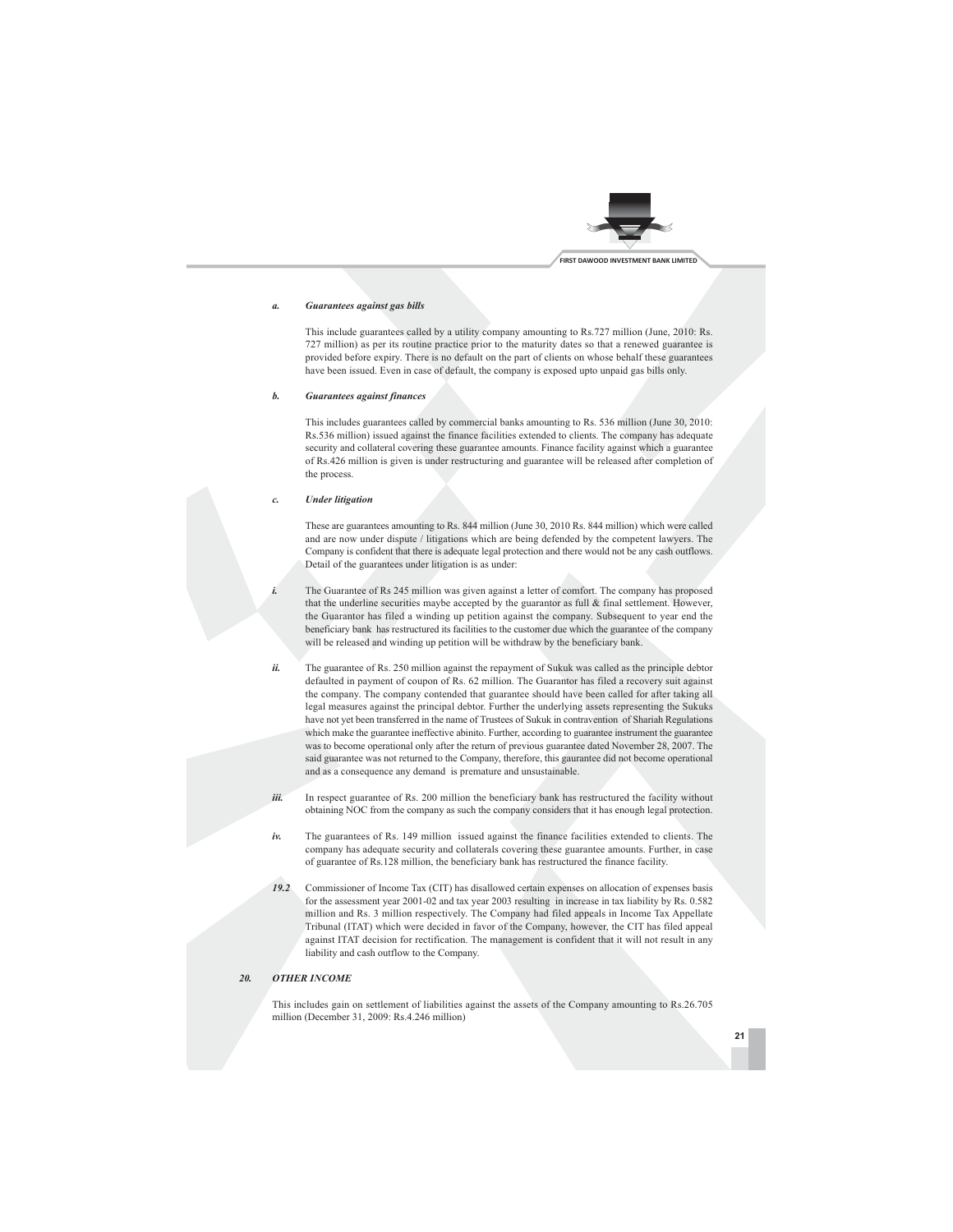

#### Guarantees against gas bills  $\mathbf{a}$

This include guarantees called by a utility company amounting to Rs.727 million (June, 2010: Rs. 727 million) as per its routine practice prior to the maturity dates so that a renewed guarantee is provided before expiry. There is no default on the part of clients on whose behalf these guarantees have been issued. Even in case of default, the company is exposed upto unpaid gas bills only.

#### $\mathbf{h}$ **Guarantees against finances**

This includes guarantees called by commercial banks amounting to Rs. 536 million (June 30, 2010: Rs.536 million) issued against the finance facilities extended to clients. The company has adequate security and collateral covering these guarantee amounts. Finance facility against which a guarantee of Rs.426 million is given is under restructuring and guarantee will be released after completion of the process.

#### $\overline{c}$ **Under litigation**

These are guarantees amounting to Rs. 844 million (June 30, 2010 Rs. 844 million) which were called and are now under dispute / litigations which are being defended by the competent lawyers. The Company is confident that there is adequate legal protection and there would not be any cash outflows. Detail of the guarantees under litigation is as under:

- The Guarantee of Rs 245 million was given against a letter of comfort. The company has proposed that the underline securities maybe accepted by the guarantor as full & final settlement. However, the Guarantor has filed a winding up petition against the company. Subsequent to year end the beneficiary bank has restructured its facilities to the customer due which the guarantee of the company will be released and winding up petition will be withdraw by the beneficiary bank.
- ii. The guarantee of Rs. 250 million against the repayment of Sukuk was called as the principle debtor defaulted in payment of coupon of Rs. 62 million. The Guarantor has filed a recovery suit against the company. The company contended that guarantee should have been called for after taking all legal measures against the principal debtor. Further the underlying assets representing the Sukuks have not yet been transferred in the name of Trustees of Sukuk in contravention of Shariah Regulations which make the guarantee ineffective abinito. Further, according to guarantee instrument the guarantee was to become operational only after the return of previous guarantee dated November 28, 2007. The said guarantee was not returned to the Company, therefore, this gaurantee did not become operational and as a consequence any demand is premature and unsustainable.
	- In respect guarantee of Rs. 200 million the beneficiary bank has restructured the facility without obtaining NOC from the company as such the company considers that it has enough legal protection.
- $iv.$ The guarantees of Rs. 149 million issued against the finance facilities extended to clients. The company has adequate security and collaterals covering these guarantee amounts. Further, in case of guarantee of Rs.128 million, the beneficiary bank has restructured the finance facility.
- Commissioner of Income Tax (CIT) has disallowed certain expenses on allocation of expenses basis  $19.2$ for the assessment year 2001-02 and tax year 2003 resulting in increase in tax liability by Rs. 0.582 million and Rs. 3 million respectively. The Company had filed appeals in Income Tax Appellate Tribunal (ITAT) which were decided in favor of the Company, however, the CIT has filed appeal against ITAT decision for rectification. The management is confident that it will not result in any liability and cash outflow to the Company.

#### **OTHER INCOME** 20.

iii.

This includes gain on settlement of liabilities against the assets of the Company amounting to Rs.26.705 million (December 31, 2009: Rs.4.246 million)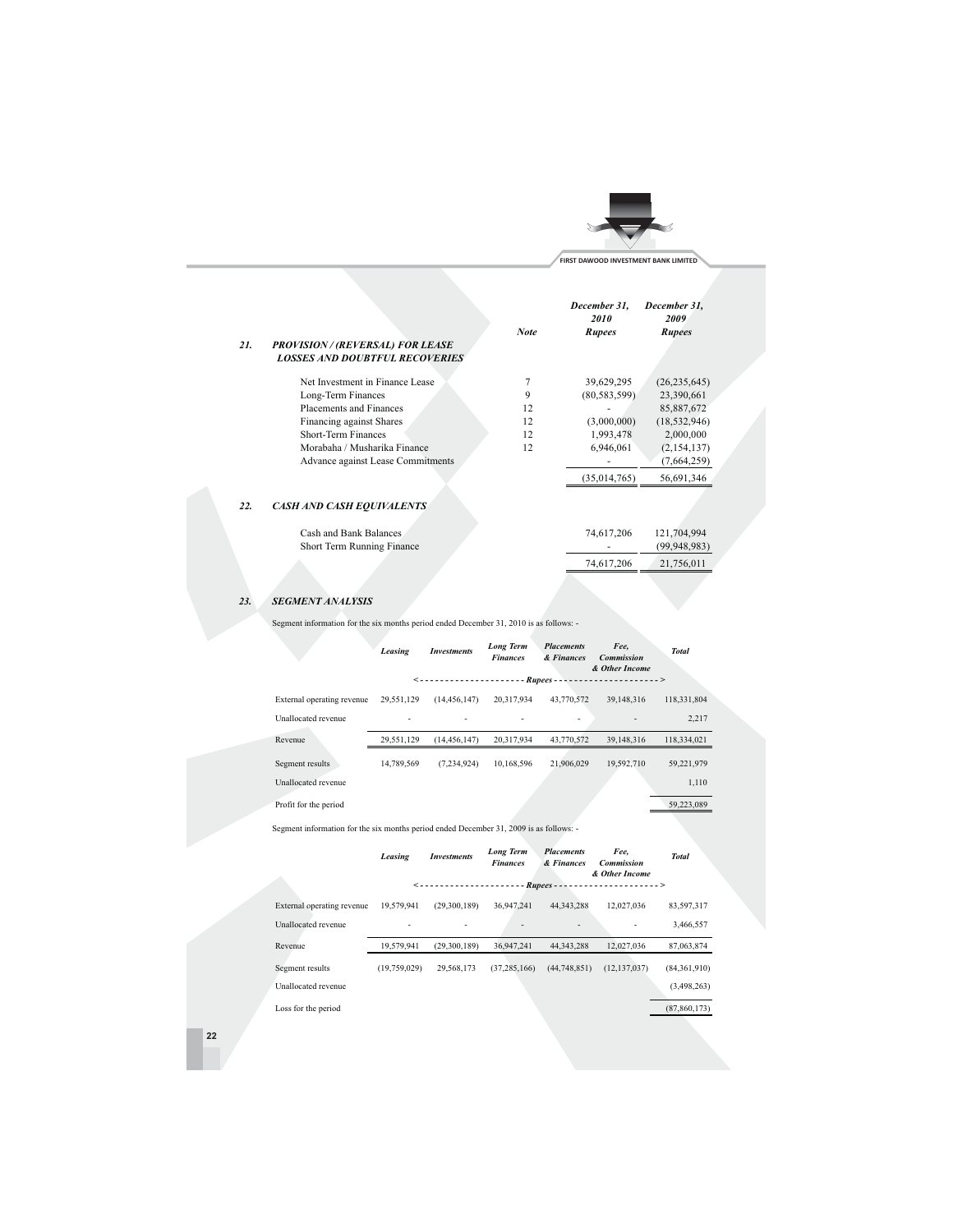

 $(99, 948, 983)$ 

21,756,011

74,617,206

| 21. | <b>PROVISION / (REVERSAL) FOR LEASE</b><br><b>LOSSES AND DOUBTFUL RECOVERIES</b> | <b>Note</b> | December 31.<br>2010<br><b>Rupees</b> | December 31,<br>2009<br><b>Rupees</b> |  |
|-----|----------------------------------------------------------------------------------|-------------|---------------------------------------|---------------------------------------|--|
|     | Net Investment in Finance Lease                                                  |             | 39,629,295                            | (26, 235, 645)                        |  |
|     | Long-Term Finances                                                               | 9           | (80, 583, 599)                        | 23,390,661                            |  |
|     | Placements and Finances                                                          | 12          |                                       | 85,887,672                            |  |
|     | Financing against Shares                                                         | 12          | (3,000,000)                           | (18, 532, 946)                        |  |
|     | Short-Term Finances                                                              | 12          | 1,993,478                             | 2,000,000                             |  |
|     | Morabaha / Musharika Finance                                                     | 12          | 6,946,061                             | (2,154,137)                           |  |
|     | Advance against Lease Commitments                                                |             |                                       | (7,664,259)                           |  |
|     |                                                                                  |             | (35,014,765)                          | 56,691,346                            |  |
| 22. | <b>CASH AND CASH EQUIVALENTS</b>                                                 |             |                                       |                                       |  |
|     | Cash and Bank Balances                                                           |             | 74,617,206                            | 121,704,994                           |  |

#### **SEGMENT ANALYSIS** 23.

Short Term Running Finance

Segment information for the six months period ended December 31, 2010 is as follows: -

|                            | Leasing    | <b>Investments</b> | <b>Long Term</b><br><b>Finances</b> | <b>Placements</b><br>& Finances | Fee,<br><b>Commission</b><br>& Other Income | <b>Total</b> |  |
|----------------------------|------------|--------------------|-------------------------------------|---------------------------------|---------------------------------------------|--------------|--|
|                            |            | <----------------- |                                     |                                 |                                             |              |  |
| External operating revenue | 29,551,129 | (14, 456, 147)     | 20,317,934                          | 43,770,572                      | 39,148,316                                  | 118,331,804  |  |
| Unallocated revenue        |            |                    |                                     | ۰                               |                                             | 2,217        |  |
| Revenue                    | 29,551,129 | (14, 456, 147)     | 20,317,934                          | 43,770,572                      | 39.148.316                                  | 118,334,021  |  |
| Segment results            | 14,789,569 | (7.234.924)        | 10,168,596                          | 21,906,029                      | 19.592.710                                  | 59,221,979   |  |
| Unallocated revenue        |            |                    |                                     |                                 |                                             | 1,110        |  |
| Profit for the period      |            |                    |                                     |                                 |                                             | 59,223,089   |  |

Segment information for the six months period ended December 31, 2009 is as follows: -

|                            | Leasing                  | <b>Investments</b>  | <b>Long Term</b><br><b>Finances</b> | <b>Placements</b><br>& Finances | Fee,<br><b>Commission</b><br>& Other Income | <b>Total</b>   |
|----------------------------|--------------------------|---------------------|-------------------------------------|---------------------------------|---------------------------------------------|----------------|
|                            |                          | <------------------ |                                     | - Rupees -                      | . >                                         |                |
| External operating revenue | 19,579,941               | (29,300,189)        | 36,947,241                          | 44.343.288                      | 12.027.036                                  | 83,597,317     |
| Unallocated revenue        | $\overline{\phantom{a}}$ |                     |                                     | ٠                               |                                             | 3,466,557      |
| Revenue                    | 19,579,941               | (29.300.189)        | 36,947,241                          | 44.343.288                      | 12.027.036                                  | 87,063,874     |
| Segment results            | (19,759,029)             | 29,568,173          | (37, 285, 166)                      | (44,748,851)                    | (12, 137, 037)                              | (84,361,910)   |
| Unallocated revenue        |                          |                     |                                     |                                 |                                             | (3,498,263)    |
| Loss for the period        |                          |                     |                                     |                                 |                                             | (87, 860, 173) |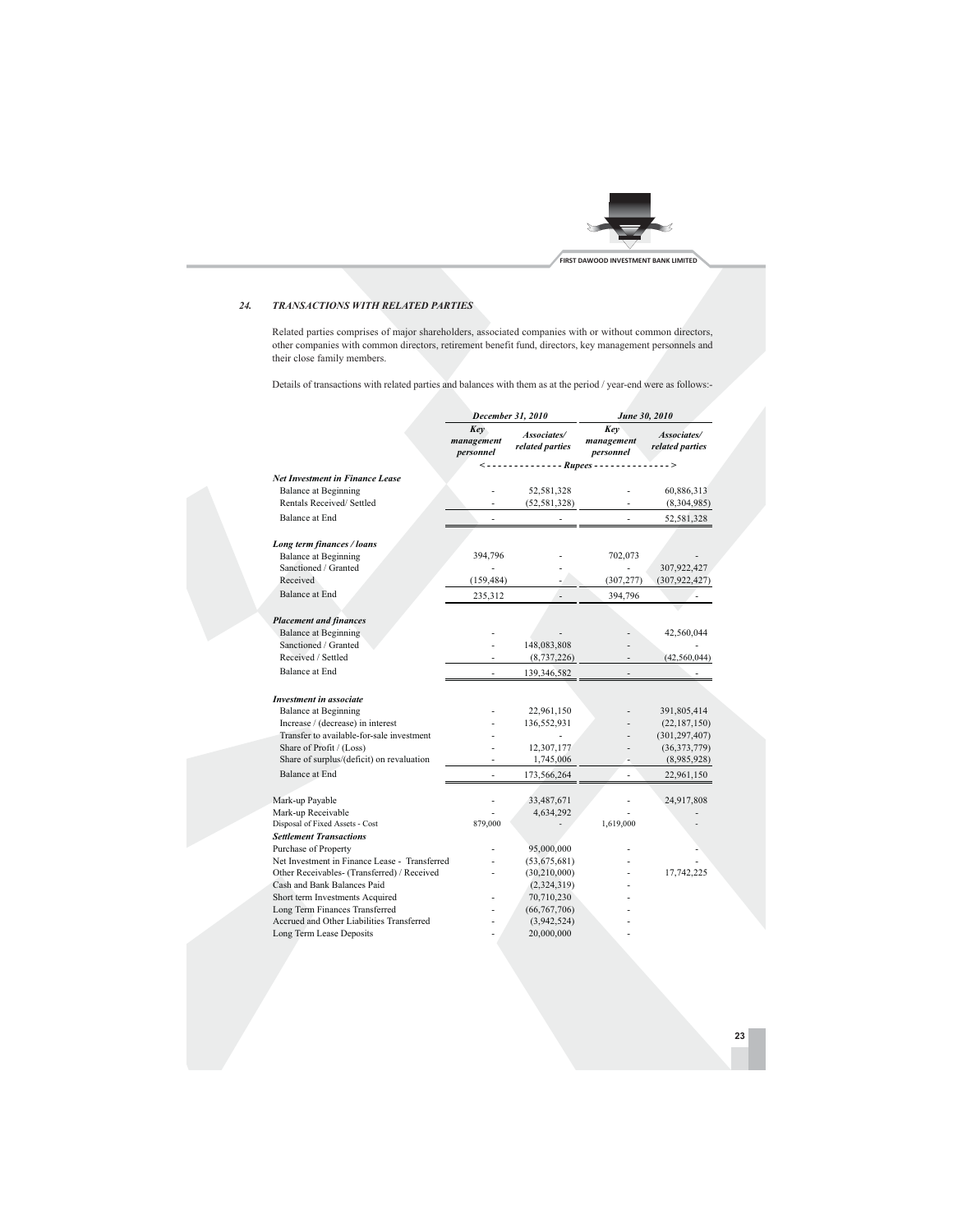

#### **TRANSACTIONS WITH RELATED PARTIES**  $24.$

Related parties comprises of major shareholders, associated companies with or without common directors, other companies with common directors, retirement benefit fund, directors, key management personnels and their close family members.

Details of transactions with related parties and balances with them as at the period / year-end were as follows:-

|                                                                  |                                        |                                | June 30, 2010        |                                |  |
|------------------------------------------------------------------|----------------------------------------|--------------------------------|----------------------|--------------------------------|--|
|                                                                  | December 31, 2010<br>Key<br>management | Associates/<br>related parties | Key<br>management    | Associates/<br>related parties |  |
|                                                                  | personnel                              |                                | personnel            |                                |  |
| <b>Net Investment in Finance Lease</b>                           | ->                                     |                                | - - - Rupees - - - - | $\overline{\phantom{0}}$       |  |
| <b>Balance at Beginning</b>                                      |                                        |                                |                      |                                |  |
| Rentals Received/ Settled                                        |                                        | 52,581,328<br>(52, 581, 328)   |                      | 60,886,313<br>(8,304,985)      |  |
|                                                                  |                                        |                                |                      |                                |  |
| <b>Balance at End</b>                                            |                                        |                                |                      | 52,581,328                     |  |
| Long term finances / loans                                       |                                        |                                |                      |                                |  |
| <b>Balance at Beginning</b>                                      | 394,796                                |                                | 702,073              |                                |  |
| Sanctioned / Granted                                             |                                        |                                |                      | 307,922,427                    |  |
| Received                                                         | (159, 484)                             |                                | (307, 277)           | (307, 922, 427)                |  |
| <b>Balance at End</b>                                            | 235,312                                |                                | 394,796              |                                |  |
|                                                                  |                                        |                                |                      |                                |  |
| <b>Placement and finances</b>                                    |                                        |                                |                      |                                |  |
| <b>Balance at Beginning</b>                                      |                                        |                                |                      | 42,560,044                     |  |
| Sanctioned / Granted                                             |                                        | 148,083,808                    |                      |                                |  |
| Received / Settled                                               |                                        | (8, 737, 226)                  |                      | (42, 560, 044)                 |  |
| <b>Balance at End</b>                                            |                                        | 139,346,582                    |                      |                                |  |
|                                                                  |                                        |                                |                      |                                |  |
| <b>Investment in associate</b>                                   |                                        |                                |                      |                                |  |
| <b>Balance at Beginning</b><br>Increase / (decrease) in interest |                                        | 22,961,150<br>136,552,931      |                      | 391,805,414<br>(22, 187, 150)  |  |
| Transfer to available-for-sale investment                        |                                        |                                |                      | (301, 297, 407)                |  |
| Share of Profit / (Loss)                                         |                                        | 12,307,177                     |                      | (36,373,779)                   |  |
| Share of surplus/(deficit) on revaluation                        |                                        | 1,745,006                      |                      | (8,985,928)                    |  |
| Balance at End                                                   |                                        | 173,566,264                    |                      | 22,961,150                     |  |
|                                                                  |                                        |                                |                      |                                |  |
| Mark-up Payable                                                  |                                        | 33,487,671                     |                      | 24,917,808                     |  |
| Mark-up Receivable                                               |                                        | 4,634,292                      |                      |                                |  |
| Disposal of Fixed Assets - Cost                                  | 879,000                                |                                | 1,619,000            |                                |  |
| <b>Settlement Transactions</b>                                   |                                        |                                |                      |                                |  |
| <b>Purchase of Property</b>                                      |                                        | 95,000,000                     |                      |                                |  |
| Net Investment in Finance Lease - Transferred                    |                                        | (53,675,681)                   |                      |                                |  |
| Other Receivables- (Transferred) / Received                      |                                        | (30,210,000)                   |                      | 17,742,225                     |  |
| Cash and Bank Balances Paid                                      |                                        | (2,324,319)                    |                      |                                |  |
| Short term Investments Acquired                                  |                                        | 70,710,230                     |                      |                                |  |
| Long Term Finances Transferred                                   |                                        | (66, 767, 706)                 |                      |                                |  |
| Accrued and Other Liabilities Transferred                        |                                        | (3,942,524)                    |                      |                                |  |
| Long Term Lease Deposits                                         |                                        | 20,000,000                     |                      |                                |  |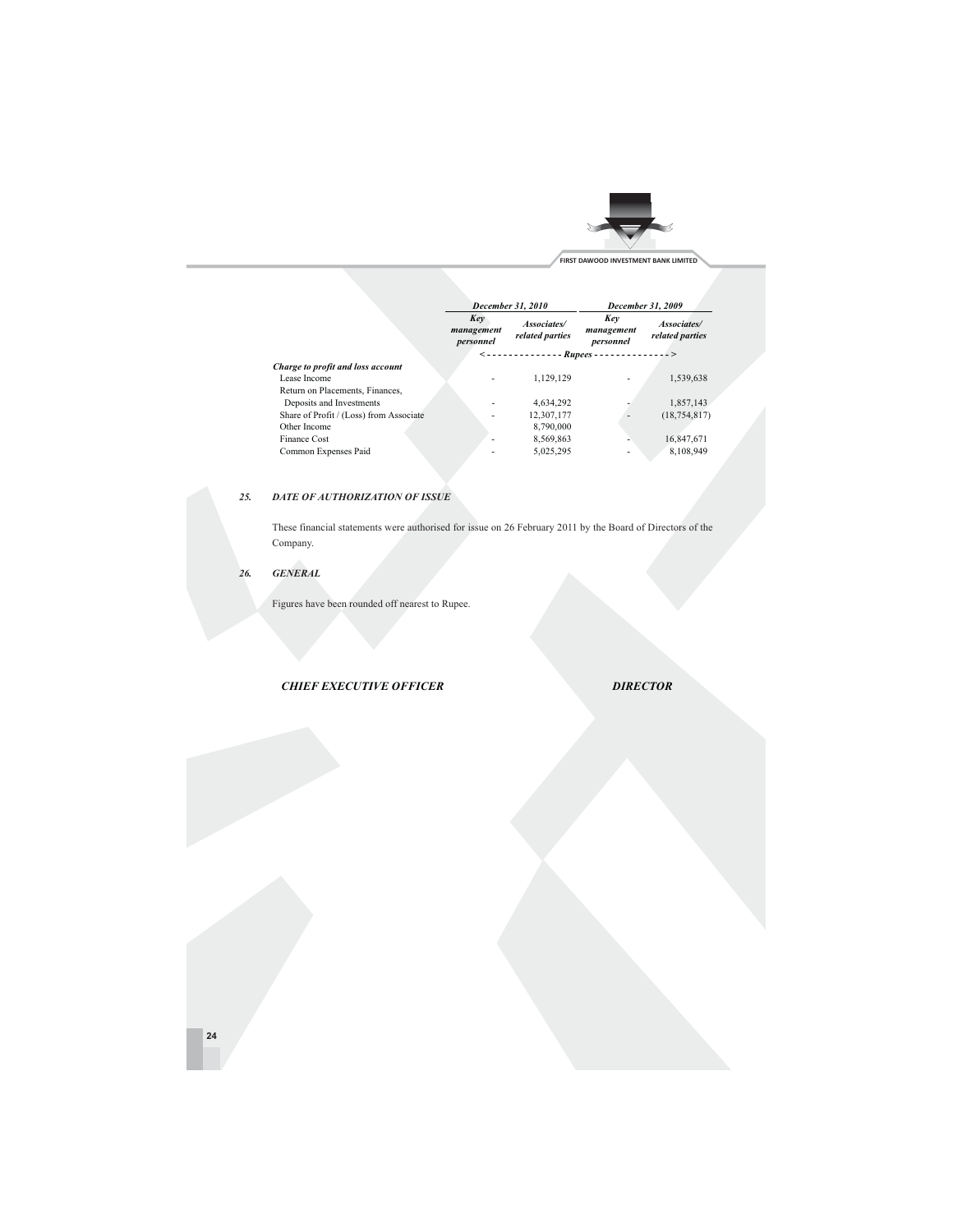

|                                         | December 31, 2010                                       |                                | December 31, 2009              |                                |
|-----------------------------------------|---------------------------------------------------------|--------------------------------|--------------------------------|--------------------------------|
|                                         | Key<br>management<br>personnel                          | Associates/<br>related parties | Key<br>management<br>personnel | Associates/<br>related parties |
|                                         | $\leq - - - - - - - - - - - R$ upees -<br>------------> |                                |                                |                                |
| Charge to profit and loss account       |                                                         |                                |                                |                                |
| Lease Income                            |                                                         | 1.129.129                      |                                | 1,539,638                      |
| Return on Placements, Finances,         |                                                         |                                |                                |                                |
| Deposits and Investments                |                                                         | 4.634.292                      |                                | 1.857.143                      |
| Share of Profit / (Loss) from Associate |                                                         | 12,307,177                     |                                | (18, 754, 817)                 |
| Other Income                            |                                                         | 8,790,000                      |                                |                                |
| <b>Finance Cost</b>                     |                                                         | 8,569,863                      |                                | 16,847,671                     |
| Common Expenses Paid                    |                                                         | 5.025.295                      |                                | 8.108.949                      |

#### **DATE OF AUTHORIZATION OF ISSUE** 25.

These financial statements were authorised for issue on 26 February 2011 by the Board of Directors of the Company.

 $\label{eq:gen} \begin{array}{ll} \textit{GENERAL} \end{array}$ 26.

Figures have been rounded off nearest to Rupee.

**CHIEF EXECUTIVE OFFICER** 

**DIRECTOR**